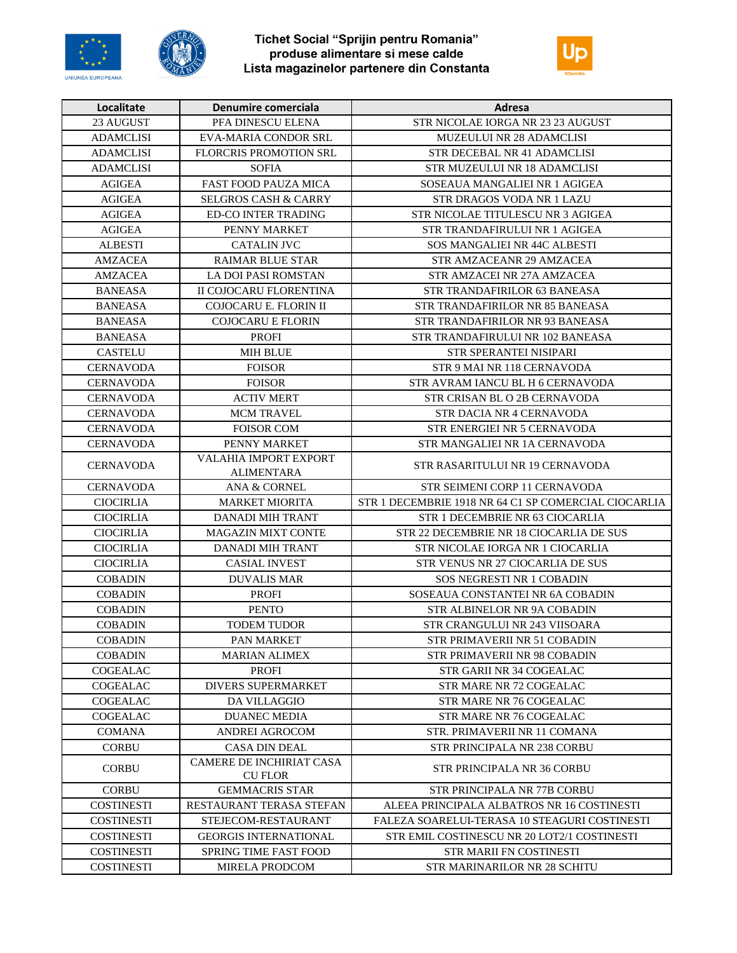





| Localitate        | Denumire comerciala             | Adresa                                               |
|-------------------|---------------------------------|------------------------------------------------------|
| 23 AUGUST         | PFA DINESCU ELENA               | STR NICOLAE IORGA NR 23 23 AUGUST                    |
| <b>ADAMCLISI</b>  | EVA-MARIA CONDOR SRL            | MUZEULUI NR 28 ADAMCLISI                             |
| <b>ADAMCLISI</b>  | <b>FLORCRIS PROMOTION SRL</b>   | STR DECEBAL NR 41 ADAMCLISI                          |
| <b>ADAMCLISI</b>  | <b>SOFIA</b>                    | STR MUZEULUI NR 18 ADAMCLISI                         |
| <b>AGIGEA</b>     | <b>FAST FOOD PAUZA MICA</b>     | SOSEAUA MANGALIEI NR 1 AGIGEA                        |
| <b>AGIGEA</b>     | <b>SELGROS CASH &amp; CARRY</b> | STR DRAGOS VODA NR 1 LAZU                            |
| <b>AGIGEA</b>     | <b>ED-CO INTER TRADING</b>      | STR NICOLAE TITULESCU NR 3 AGIGEA                    |
| <b>AGIGEA</b>     | PENNY MARKET                    | STR TRANDAFIRULUI NR 1 AGIGEA                        |
| <b>ALBESTI</b>    | CATALIN JVC                     | SOS MANGALIEI NR 44C ALBESTI                         |
| AMZACEA           | <b>RAIMAR BLUE STAR</b>         | STR AMZACEANR 29 AMZACEA                             |
| AMZACEA           | <b>LA DOI PASI ROMSTAN</b>      | STR AMZACEI NR 27A AMZACEA                           |
| <b>BANEASA</b>    | II COJOCARU FLORENTINA          | STR TRANDAFIRILOR 63 BANEASA                         |
| <b>BANEASA</b>    | COJOCARU E. FLORIN II           | STR TRANDAFIRILOR NR 85 BANEASA                      |
| <b>BANEASA</b>    | <b>COJOCARU E FLORIN</b>        | STR TRANDAFIRILOR NR 93 BANEASA                      |
| <b>BANEASA</b>    | <b>PROFI</b>                    | STR TRANDAFIRULUI NR 102 BANEASA                     |
| <b>CASTELU</b>    | <b>MIH BLUE</b>                 | STR SPERANTEI NISIPARI                               |
| <b>CERNAVODA</b>  | <b>FOISOR</b>                   | STR 9 MAI NR 118 CERNAVODA                           |
| <b>CERNAVODA</b>  | <b>FOISOR</b>                   | STR AVRAM IANCU BL H 6 CERNAVODA                     |
| <b>CERNAVODA</b>  | <b>ACTIV MERT</b>               | STR CRISAN BL O 2B CERNAVODA                         |
| <b>CERNAVODA</b>  | <b>MCM TRAVEL</b>               | STR DACIA NR 4 CERNAVODA                             |
| <b>CERNAVODA</b>  | <b>FOISOR COM</b>               | STR ENERGIEI NR 5 CERNAVODA                          |
| <b>CERNAVODA</b>  | PENNY MARKET                    | STR MANGALIEI NR 1A CERNAVODA                        |
|                   | VALAHIA IMPORT EXPORT           |                                                      |
| <b>CERNAVODA</b>  | <b>ALIMENTARA</b>               | STR RASARITULUI NR 19 CERNAVODA                      |
| <b>CERNAVODA</b>  | ANA & CORNEL                    | STR SEIMENI CORP 11 CERNAVODA                        |
| <b>CIOCIRLIA</b>  | <b>MARKET MIORITA</b>           | STR 1 DECEMBRIE 1918 NR 64 C1 SP COMERCIAL CIOCARLIA |
| <b>CIOCIRLIA</b>  | <b>DANADI MIH TRANT</b>         | STR 1 DECEMBRIE NR 63 CIOCARLIA                      |
| <b>CIOCIRLIA</b>  | <b>MAGAZIN MIXT CONTE</b>       | STR 22 DECEMBRIE NR 18 CIOCARLIA DE SUS              |
| <b>CIOCIRLIA</b>  | DANADI MIH TRANT                | STR NICOLAE IORGA NR 1 CIOCARLIA                     |
| <b>CIOCIRLIA</b>  | CASIAL INVEST                   | STR VENUS NR 27 CIOCARLIA DE SUS                     |
| <b>COBADIN</b>    | <b>DUVALIS MAR</b>              | SOS NEGRESTI NR 1 COBADIN                            |
| <b>COBADIN</b>    | <b>PROFI</b>                    | SOSEAUA CONSTANTEI NR 6A COBADIN                     |
| <b>COBADIN</b>    | <b>PENTO</b>                    | <b>STR ALBINELOR NR 9A COBADIN</b>                   |
| <b>COBADIN</b>    | <b>TODEM TUDOR</b>              | STR CRANGULUI NR 243 VIISOARA                        |
| <b>COBADIN</b>    | PAN MARKET                      | STR PRIMAVERII NR 51 COBADIN                         |
| <b>COBADIN</b>    | <b>MARIAN ALIMEX</b>            | STR PRIMAVERII NR 98 COBADIN                         |
| COGEALAC          | <b>PROFI</b>                    | STR GARII NR 34 COGEALAC                             |
| COGEALAC          | <b>DIVERS SUPERMARKET</b>       | STR MARE NR 72 COGEALAC                              |
| <b>COGEALAC</b>   | <b>DA VILLAGGIO</b>             | STR MARE NR 76 COGEALAC                              |
| <b>COGEALAC</b>   | <b>DUANEC MEDIA</b>             | STR MARE NR 76 COGEALAC                              |
| <b>COMANA</b>     | ANDREI AGROCOM                  | STR. PRIMAVERII NR 11 COMANA                         |
| <b>CORBU</b>      | <b>CASA DIN DEAL</b>            | STR PRINCIPALA NR 238 CORBU                          |
| <b>CORBU</b>      | CAMERE DE INCHIRIAT CASA        | STR PRINCIPALA NR 36 CORBU                           |
|                   | <b>CU FLOR</b>                  |                                                      |
| <b>CORBU</b>      | <b>GEMMACRIS STAR</b>           | STR PRINCIPALA NR 77B CORBU                          |
| COSTINESTI        | RESTAURANT TERASA STEFAN        | ALEEA PRINCIPALA ALBATROS NR 16 COSTINESTI           |
| <b>COSTINESTI</b> | STEJECOM-RESTAURANT             | FALEZA SOARELUI-TERASA 10 STEAGURI COSTINESTI        |
| <b>COSTINESTI</b> | <b>GEORGIS INTERNATIONAL</b>    | STR EMIL COSTINESCU NR 20 LOT2/1 COSTINESTI          |
| <b>COSTINESTI</b> | SPRING TIME FAST FOOD           | STR MARII FN COSTINESTI                              |
| COSTINESTI        | <b>MIRELA PRODCOM</b>           | STR MARINARILOR NR 28 SCHITU                         |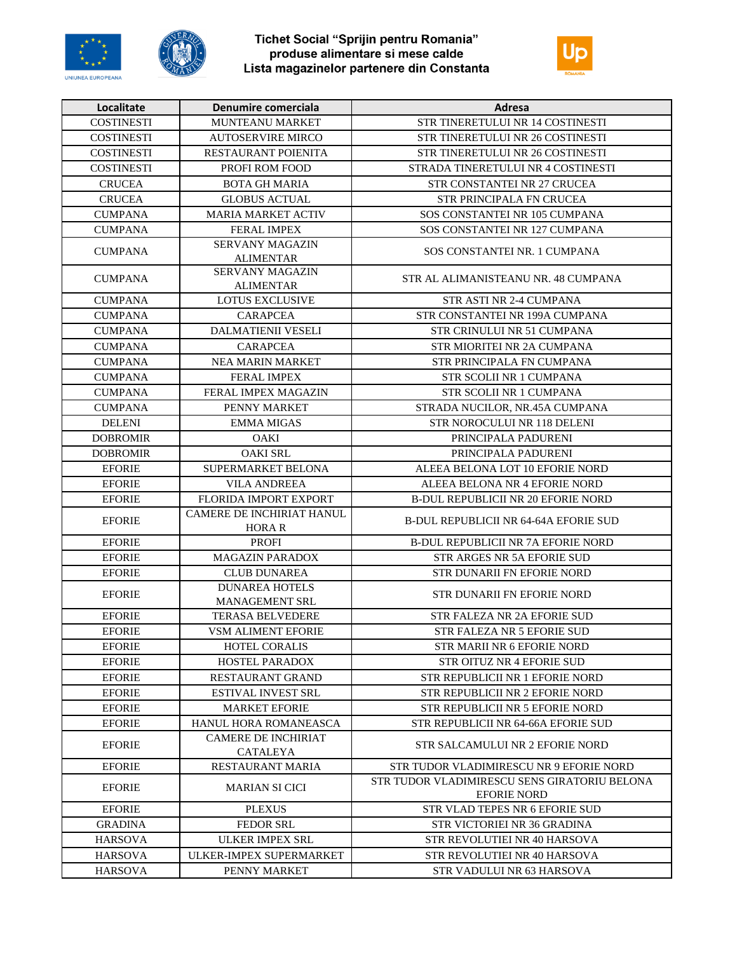





| Localitate        | Denumire comerciala                        | Adresa                                       |
|-------------------|--------------------------------------------|----------------------------------------------|
| COSTINESTI        | <b>MUNTEANU MARKET</b>                     | STR TINERETULUI NR 14 COSTINESTI             |
| <b>COSTINESTI</b> | <b>AUTOSERVIRE MIRCO</b>                   | STR TINERETULUI NR 26 COSTINESTI             |
| <b>COSTINESTI</b> | RESTAURANT POIENITA                        | STR TINERETULUI NR 26 COSTINESTI             |
| <b>COSTINESTI</b> | PROFI ROM FOOD                             | STRADA TINERETULUI NR 4 COSTINESTI           |
| <b>CRUCEA</b>     | <b>BOTA GH MARIA</b>                       | STR CONSTANTEI NR 27 CRUCEA                  |
| <b>CRUCEA</b>     | <b>GLOBUS ACTUAL</b>                       | STR PRINCIPALA FN CRUCEA                     |
| <b>CUMPANA</b>    | <b>MARIA MARKET ACTIV</b>                  | SOS CONSTANTEI NR 105 CUMPANA                |
| <b>CUMPANA</b>    | <b>FERAL IMPEX</b>                         | SOS CONSTANTEI NR 127 CUMPANA                |
| <b>CUMPANA</b>    | <b>SERVANY MAGAZIN</b>                     | SOS CONSTANTEI NR. 1 CUMPANA                 |
|                   | <b>ALIMENTAR</b>                           |                                              |
| <b>CUMPANA</b>    | <b>SERVANY MAGAZIN</b><br><b>ALIMENTAR</b> | STR AL ALIMANISTEANU NR. 48 CUMPANA          |
| <b>CUMPANA</b>    | <b>LOTUS EXCLUSIVE</b>                     | STR ASTI NR 2-4 CUMPANA                      |
| <b>CUMPANA</b>    | <b>CARAPCEA</b>                            | STR CONSTANTEI NR 199A CUMPANA               |
| <b>CUMPANA</b>    | <b>DALMATIENII VESELI</b>                  | STR CRINULUI NR 51 CUMPANA                   |
| <b>CUMPANA</b>    | <b>CARAPCEA</b>                            | STR MIORITEI NR 2A CUMPANA                   |
| <b>CUMPANA</b>    | <b>NEA MARIN MARKET</b>                    | STR PRINCIPALA FN CUMPANA                    |
| <b>CUMPANA</b>    | <b>FERAL IMPEX</b>                         | STR SCOLII NR 1 CUMPANA                      |
| <b>CUMPANA</b>    | FERAL IMPEX MAGAZIN                        | STR SCOLII NR 1 CUMPANA                      |
| <b>CUMPANA</b>    | PENNY MARKET                               | STRADA NUCILOR, NR.45A CUMPANA               |
| <b>DELENI</b>     | <b>EMMA MIGAS</b>                          | STR NOROCULUI NR 118 DELENI                  |
| <b>DOBROMIR</b>   | <b>OAKI</b>                                | PRINCIPALA PADURENI                          |
| <b>DOBROMIR</b>   | <b>OAKI SRL</b>                            | PRINCIPALA PADURENI                          |
| <b>EFORIE</b>     | SUPERMARKET BELONA                         | ALEEA BELONA LOT 10 EFORIE NORD              |
| <b>EFORIE</b>     | <b>VILA ANDREEA</b>                        | ALEEA BELONA NR 4 EFORIE NORD                |
| <b>EFORIE</b>     | FLORIDA IMPORT EXPORT                      | <b>B-DUL REPUBLICII NR 20 EFORIE NORD</b>    |
| <b>EFORIE</b>     | CAMERE DE INCHIRIAT HANUL<br><b>HORA R</b> | <b>B-DUL REPUBLICII NR 64-64A EFORIE SUD</b> |
| <b>EFORIE</b>     | <b>PROFI</b>                               | <b>B-DUL REPUBLICII NR 7A EFORIE NORD</b>    |
| <b>EFORIE</b>     | <b>MAGAZIN PARADOX</b>                     | STR ARGES NR 5A EFORIE SUD                   |
| <b>EFORIE</b>     | <b>CLUB DUNAREA</b>                        | STR DUNARII FN EFORIE NORD                   |
| <b>EFORIE</b>     | <b>DUNAREA HOTELS</b>                      | STR DUNARII FN EFORIE NORD                   |
|                   | MANAGEMENT SRL                             |                                              |
| <b>EFORIE</b>     | <b>TERASA BELVEDERE</b>                    | STR FALEZA NR 2A EFORIE SUD                  |
| <b>EFORIE</b>     | <b>VSM ALIMENT EFORIE</b>                  | STR FALEZA NR 5 EFORIE SUD                   |
| <b>EFORIE</b>     | HOTEL CORALIS                              | STR MARII NR 6 EFORIE NORD                   |
| <b>EFORIE</b>     | HOSTEL PARADOX                             | <b>STR OITUZ NR 4 EFORIE SUD</b>             |
| <b>EFORIE</b>     | RESTAURANT GRAND                           | STR REPUBLICII NR 1 EFORIE NORD              |
| <b>EFORIE</b>     | <b>ESTIVAL INVEST SRL</b>                  | <b>STR REPUBLICII NR 2 EFORIE NORD</b>       |
| <b>EFORIE</b>     | <b>MARKET EFORIE</b>                       | STR REPUBLICII NR 5 EFORIE NORD              |
| <b>EFORIE</b>     | HANUL HORA ROMANEASCA                      | STR REPUBLICII NR 64-66A EFORIE SUD          |
| <b>EFORIE</b>     | <b>CAMERE DE INCHIRIAT</b>                 | <b>STR SALCAMULUI NR 2 EFORIE NORD</b>       |
| <b>EFORIE</b>     | <b>CATALEYA</b><br>RESTAURANT MARIA        | STR TUDOR VLADIMIRESCU NR 9 EFORIE NORD      |
|                   |                                            | STR TUDOR VLADIMIRESCU SENS GIRATORIU BELONA |
| <b>EFORIE</b>     | <b>MARIAN SI CICI</b>                      | <b>EFORIE NORD</b>                           |
| <b>EFORIE</b>     | <b>PLEXUS</b>                              | STR VLAD TEPES NR 6 EFORIE SUD               |
| <b>GRADINA</b>    | <b>FEDOR SRL</b>                           | STR VICTORIEI NR 36 GRADINA                  |
| <b>HARSOVA</b>    | <b>ULKER IMPEX SRL</b>                     | STR REVOLUTIEI NR 40 HARSOVA                 |
| <b>HARSOVA</b>    | ULKER-IMPEX SUPERMARKET                    | STR REVOLUTIEI NR 40 HARSOVA                 |
| <b>HARSOVA</b>    | PENNY MARKET                               | STR VADULUI NR 63 HARSOVA                    |
|                   |                                            |                                              |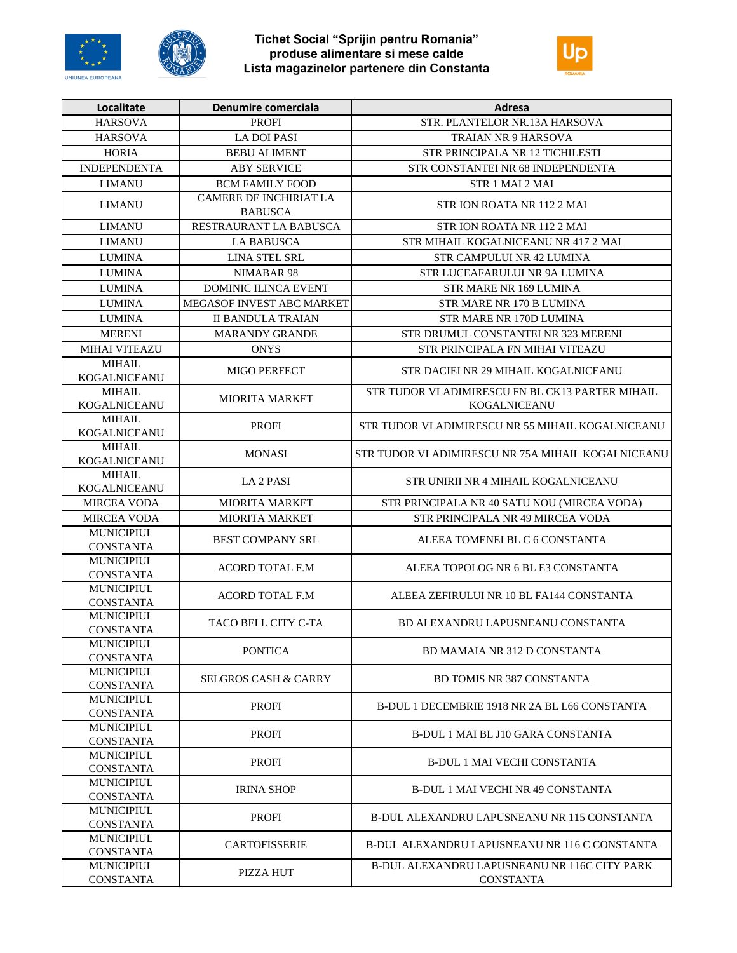





| <b>HARSOVA</b><br><b>PROFI</b><br>STR. PLANTELOR NR.13A HARSOVA<br><b>LA DOI PASI</b><br><b>HARSOVA</b><br><b>TRAIAN NR 9 HARSOVA</b><br><b>HORIA</b><br><b>BEBU ALIMENT</b><br>STR PRINCIPALA NR 12 TICHILESTI<br><b>INDEPENDENTA</b><br><b>ABY SERVICE</b><br>STR CONSTANTEI NR 68 INDEPENDENTA<br><b>BCM FAMILY FOOD</b><br><b>LIMANU</b><br>STR 1 MAI 2 MAI<br><b>CAMERE DE INCHIRIAT LA</b><br><b>LIMANU</b><br>STR ION ROATA NR 1122 MAI<br><b>BABUSCA</b><br><b>LIMANU</b><br>RESTRAURANT LA BABUSCA<br>STR ION ROATA NR 1122 MAI<br><b>LIMANU</b><br>STR MIHAIL KOGALNICEANU NR 417 2 MAI<br><b>LA BABUSCA</b><br><b>LUMINA</b><br>LINA STEL SRL<br>STR CAMPULUI NR 42 LUMINA<br><b>LUMINA</b><br>NIMABAR 98<br>STR LUCEAFARULUI NR 9A LUMINA<br><b>LUMINA</b><br><b>DOMINIC ILINCA EVENT</b><br>STR MARE NR 169 LUMINA<br><b>LUMINA</b><br>MEGASOF INVEST ABC MARKET<br>STR MARE NR 170 B LUMINA<br><b>II BANDULA TRAIAN</b><br><b>LUMINA</b><br>STR MARE NR 170D LUMINA<br><b>MARANDY GRANDE</b><br><b>MERENI</b><br>STR DRUMUL CONSTANTEI NR 323 MERENI<br><b>MIHAI VITEAZU</b><br><b>ONYS</b><br>STR PRINCIPALA FN MIHAI VITEAZU<br><b>MIHAIL</b><br><b>MIGO PERFECT</b><br>STR DACIEI NR 29 MIHAIL KOGALNICEANU<br><b>KOGALNICEANU</b><br><b>MIHAIL</b><br>STR TUDOR VLADIMIRESCU FN BL CK13 PARTER MIHAIL<br><b>MIORITA MARKET</b><br>KOGALNICEANU<br>KOGALNICEANU<br><b>MIHAIL</b><br><b>PROFI</b><br>STR TUDOR VLADIMIRESCU NR 55 MIHAIL KOGALNICEANU<br><b>KOGALNICEANU</b><br><b>MIHAIL</b><br><b>MONASI</b><br>STR TUDOR VLADIMIRESCU NR 75A MIHAIL KOGALNICEANU<br>KOGALNICEANU<br><b>MIHAIL</b><br>LA 2 PASI<br>STR UNIRII NR 4 MIHAIL KOGALNICEANU<br>KOGALNICEANU<br><b>MIORITA MARKET</b><br>STR PRINCIPALA NR 40 SATU NOU (MIRCEA VODA)<br><b>MIRCEA VODA</b><br>MIRCEA VODA<br><b>MIORITA MARKET</b><br>STR PRINCIPALA NR 49 MIRCEA VODA<br><b>MUNICIPIUL</b><br><b>BEST COMPANY SRL</b><br>ALEEA TOMENEI BL C 6 CONSTANTA<br><b>CONSTANTA</b><br><b>MUNICIPIUL</b><br><b>ACORD TOTAL F.M</b><br>ALEEA TOPOLOG NR 6 BL E3 CONSTANTA<br><b>CONSTANTA</b><br><b>MUNICIPIUL</b><br><b>ACORD TOTAL F.M</b><br>ALEEA ZEFIRULUI NR 10 BL FA144 CONSTANTA<br><b>CONSTANTA</b><br><b>MUNICIPIUL</b><br>TACO BELL CITY C-TA<br>BD ALEXANDRU LAPUSNEANU CONSTANTA<br><b>CONSTANTA</b><br><b>MUNICIPIUL</b><br><b>PONTICA</b><br>BD MAMAIA NR 312 D CONSTANTA<br><b>CONSTANTA</b><br><b>MUNICIPIUL</b><br><b>SELGROS CASH &amp; CARRY</b><br><b>BD TOMIS NR 387 CONSTANTA</b><br><b>CONSTANTA</b><br><b>MUNICIPIUL</b><br><b>PROFI</b><br>B-DUL 1 DECEMBRIE 1918 NR 2A BL L66 CONSTANTA<br><b>CONSTANTA</b><br><b>MUNICIPIUL</b><br><b>PROFI</b><br>B-DUL 1 MAI BL J10 GARA CONSTANTA<br><b>CONSTANTA</b><br><b>MUNICIPIUL</b><br><b>PROFI</b><br><b>B-DUL 1 MAI VECHI CONSTANTA</b><br><b>CONSTANTA</b><br><b>MUNICIPIUL</b><br><b>IRINA SHOP</b><br><b>B-DUL 1 MAI VECHI NR 49 CONSTANTA</b><br><b>CONSTANTA</b><br><b>MUNICIPIUL</b><br><b>PROFI</b><br>B-DUL ALEXANDRU LAPUSNEANU NR 115 CONSTANTA<br><b>CONSTANTA</b><br><b>MUNICIPIUL</b><br><b>CARTOFISSERIE</b><br>B-DUL ALEXANDRU LAPUSNEANU NR 116 C CONSTANTA<br><b>CONSTANTA</b><br><b>MUNICIPIUL</b><br>B-DUL ALEXANDRU LAPUSNEANU NR 116C CITY PARK<br>PIZZA HUT<br><b>CONSTANTA</b><br><b>CONSTANTA</b> | Localitate | Denumire comerciala | <b>Adresa</b> |
|---------------------------------------------------------------------------------------------------------------------------------------------------------------------------------------------------------------------------------------------------------------------------------------------------------------------------------------------------------------------------------------------------------------------------------------------------------------------------------------------------------------------------------------------------------------------------------------------------------------------------------------------------------------------------------------------------------------------------------------------------------------------------------------------------------------------------------------------------------------------------------------------------------------------------------------------------------------------------------------------------------------------------------------------------------------------------------------------------------------------------------------------------------------------------------------------------------------------------------------------------------------------------------------------------------------------------------------------------------------------------------------------------------------------------------------------------------------------------------------------------------------------------------------------------------------------------------------------------------------------------------------------------------------------------------------------------------------------------------------------------------------------------------------------------------------------------------------------------------------------------------------------------------------------------------------------------------------------------------------------------------------------------------------------------------------------------------------------------------------------------------------------------------------------------------------------------------------------------------------------------------------------------------------------------------------------------------------------------------------------------------------------------------------------------------------------------------------------------------------------------------------------------------------------------------------------------------------------------------------------------------------------------------------------------------------------------------------------------------------------------------------------------------------------------------------------------------------------------------------------------------------------------------------------------------------------------------------------------------------------------------------------------------------------------------------------------------------------------------------------------------------------------------------------------------------------------------------------------------------------------------------------------------------|------------|---------------------|---------------|
|                                                                                                                                                                                                                                                                                                                                                                                                                                                                                                                                                                                                                                                                                                                                                                                                                                                                                                                                                                                                                                                                                                                                                                                                                                                                                                                                                                                                                                                                                                                                                                                                                                                                                                                                                                                                                                                                                                                                                                                                                                                                                                                                                                                                                                                                                                                                                                                                                                                                                                                                                                                                                                                                                                                                                                                                                                                                                                                                                                                                                                                                                                                                                                                                                                                                                       |            |                     |               |
|                                                                                                                                                                                                                                                                                                                                                                                                                                                                                                                                                                                                                                                                                                                                                                                                                                                                                                                                                                                                                                                                                                                                                                                                                                                                                                                                                                                                                                                                                                                                                                                                                                                                                                                                                                                                                                                                                                                                                                                                                                                                                                                                                                                                                                                                                                                                                                                                                                                                                                                                                                                                                                                                                                                                                                                                                                                                                                                                                                                                                                                                                                                                                                                                                                                                                       |            |                     |               |
|                                                                                                                                                                                                                                                                                                                                                                                                                                                                                                                                                                                                                                                                                                                                                                                                                                                                                                                                                                                                                                                                                                                                                                                                                                                                                                                                                                                                                                                                                                                                                                                                                                                                                                                                                                                                                                                                                                                                                                                                                                                                                                                                                                                                                                                                                                                                                                                                                                                                                                                                                                                                                                                                                                                                                                                                                                                                                                                                                                                                                                                                                                                                                                                                                                                                                       |            |                     |               |
|                                                                                                                                                                                                                                                                                                                                                                                                                                                                                                                                                                                                                                                                                                                                                                                                                                                                                                                                                                                                                                                                                                                                                                                                                                                                                                                                                                                                                                                                                                                                                                                                                                                                                                                                                                                                                                                                                                                                                                                                                                                                                                                                                                                                                                                                                                                                                                                                                                                                                                                                                                                                                                                                                                                                                                                                                                                                                                                                                                                                                                                                                                                                                                                                                                                                                       |            |                     |               |
|                                                                                                                                                                                                                                                                                                                                                                                                                                                                                                                                                                                                                                                                                                                                                                                                                                                                                                                                                                                                                                                                                                                                                                                                                                                                                                                                                                                                                                                                                                                                                                                                                                                                                                                                                                                                                                                                                                                                                                                                                                                                                                                                                                                                                                                                                                                                                                                                                                                                                                                                                                                                                                                                                                                                                                                                                                                                                                                                                                                                                                                                                                                                                                                                                                                                                       |            |                     |               |
|                                                                                                                                                                                                                                                                                                                                                                                                                                                                                                                                                                                                                                                                                                                                                                                                                                                                                                                                                                                                                                                                                                                                                                                                                                                                                                                                                                                                                                                                                                                                                                                                                                                                                                                                                                                                                                                                                                                                                                                                                                                                                                                                                                                                                                                                                                                                                                                                                                                                                                                                                                                                                                                                                                                                                                                                                                                                                                                                                                                                                                                                                                                                                                                                                                                                                       |            |                     |               |
|                                                                                                                                                                                                                                                                                                                                                                                                                                                                                                                                                                                                                                                                                                                                                                                                                                                                                                                                                                                                                                                                                                                                                                                                                                                                                                                                                                                                                                                                                                                                                                                                                                                                                                                                                                                                                                                                                                                                                                                                                                                                                                                                                                                                                                                                                                                                                                                                                                                                                                                                                                                                                                                                                                                                                                                                                                                                                                                                                                                                                                                                                                                                                                                                                                                                                       |            |                     |               |
|                                                                                                                                                                                                                                                                                                                                                                                                                                                                                                                                                                                                                                                                                                                                                                                                                                                                                                                                                                                                                                                                                                                                                                                                                                                                                                                                                                                                                                                                                                                                                                                                                                                                                                                                                                                                                                                                                                                                                                                                                                                                                                                                                                                                                                                                                                                                                                                                                                                                                                                                                                                                                                                                                                                                                                                                                                                                                                                                                                                                                                                                                                                                                                                                                                                                                       |            |                     |               |
|                                                                                                                                                                                                                                                                                                                                                                                                                                                                                                                                                                                                                                                                                                                                                                                                                                                                                                                                                                                                                                                                                                                                                                                                                                                                                                                                                                                                                                                                                                                                                                                                                                                                                                                                                                                                                                                                                                                                                                                                                                                                                                                                                                                                                                                                                                                                                                                                                                                                                                                                                                                                                                                                                                                                                                                                                                                                                                                                                                                                                                                                                                                                                                                                                                                                                       |            |                     |               |
|                                                                                                                                                                                                                                                                                                                                                                                                                                                                                                                                                                                                                                                                                                                                                                                                                                                                                                                                                                                                                                                                                                                                                                                                                                                                                                                                                                                                                                                                                                                                                                                                                                                                                                                                                                                                                                                                                                                                                                                                                                                                                                                                                                                                                                                                                                                                                                                                                                                                                                                                                                                                                                                                                                                                                                                                                                                                                                                                                                                                                                                                                                                                                                                                                                                                                       |            |                     |               |
|                                                                                                                                                                                                                                                                                                                                                                                                                                                                                                                                                                                                                                                                                                                                                                                                                                                                                                                                                                                                                                                                                                                                                                                                                                                                                                                                                                                                                                                                                                                                                                                                                                                                                                                                                                                                                                                                                                                                                                                                                                                                                                                                                                                                                                                                                                                                                                                                                                                                                                                                                                                                                                                                                                                                                                                                                                                                                                                                                                                                                                                                                                                                                                                                                                                                                       |            |                     |               |
|                                                                                                                                                                                                                                                                                                                                                                                                                                                                                                                                                                                                                                                                                                                                                                                                                                                                                                                                                                                                                                                                                                                                                                                                                                                                                                                                                                                                                                                                                                                                                                                                                                                                                                                                                                                                                                                                                                                                                                                                                                                                                                                                                                                                                                                                                                                                                                                                                                                                                                                                                                                                                                                                                                                                                                                                                                                                                                                                                                                                                                                                                                                                                                                                                                                                                       |            |                     |               |
|                                                                                                                                                                                                                                                                                                                                                                                                                                                                                                                                                                                                                                                                                                                                                                                                                                                                                                                                                                                                                                                                                                                                                                                                                                                                                                                                                                                                                                                                                                                                                                                                                                                                                                                                                                                                                                                                                                                                                                                                                                                                                                                                                                                                                                                                                                                                                                                                                                                                                                                                                                                                                                                                                                                                                                                                                                                                                                                                                                                                                                                                                                                                                                                                                                                                                       |            |                     |               |
|                                                                                                                                                                                                                                                                                                                                                                                                                                                                                                                                                                                                                                                                                                                                                                                                                                                                                                                                                                                                                                                                                                                                                                                                                                                                                                                                                                                                                                                                                                                                                                                                                                                                                                                                                                                                                                                                                                                                                                                                                                                                                                                                                                                                                                                                                                                                                                                                                                                                                                                                                                                                                                                                                                                                                                                                                                                                                                                                                                                                                                                                                                                                                                                                                                                                                       |            |                     |               |
|                                                                                                                                                                                                                                                                                                                                                                                                                                                                                                                                                                                                                                                                                                                                                                                                                                                                                                                                                                                                                                                                                                                                                                                                                                                                                                                                                                                                                                                                                                                                                                                                                                                                                                                                                                                                                                                                                                                                                                                                                                                                                                                                                                                                                                                                                                                                                                                                                                                                                                                                                                                                                                                                                                                                                                                                                                                                                                                                                                                                                                                                                                                                                                                                                                                                                       |            |                     |               |
|                                                                                                                                                                                                                                                                                                                                                                                                                                                                                                                                                                                                                                                                                                                                                                                                                                                                                                                                                                                                                                                                                                                                                                                                                                                                                                                                                                                                                                                                                                                                                                                                                                                                                                                                                                                                                                                                                                                                                                                                                                                                                                                                                                                                                                                                                                                                                                                                                                                                                                                                                                                                                                                                                                                                                                                                                                                                                                                                                                                                                                                                                                                                                                                                                                                                                       |            |                     |               |
|                                                                                                                                                                                                                                                                                                                                                                                                                                                                                                                                                                                                                                                                                                                                                                                                                                                                                                                                                                                                                                                                                                                                                                                                                                                                                                                                                                                                                                                                                                                                                                                                                                                                                                                                                                                                                                                                                                                                                                                                                                                                                                                                                                                                                                                                                                                                                                                                                                                                                                                                                                                                                                                                                                                                                                                                                                                                                                                                                                                                                                                                                                                                                                                                                                                                                       |            |                     |               |
|                                                                                                                                                                                                                                                                                                                                                                                                                                                                                                                                                                                                                                                                                                                                                                                                                                                                                                                                                                                                                                                                                                                                                                                                                                                                                                                                                                                                                                                                                                                                                                                                                                                                                                                                                                                                                                                                                                                                                                                                                                                                                                                                                                                                                                                                                                                                                                                                                                                                                                                                                                                                                                                                                                                                                                                                                                                                                                                                                                                                                                                                                                                                                                                                                                                                                       |            |                     |               |
|                                                                                                                                                                                                                                                                                                                                                                                                                                                                                                                                                                                                                                                                                                                                                                                                                                                                                                                                                                                                                                                                                                                                                                                                                                                                                                                                                                                                                                                                                                                                                                                                                                                                                                                                                                                                                                                                                                                                                                                                                                                                                                                                                                                                                                                                                                                                                                                                                                                                                                                                                                                                                                                                                                                                                                                                                                                                                                                                                                                                                                                                                                                                                                                                                                                                                       |            |                     |               |
|                                                                                                                                                                                                                                                                                                                                                                                                                                                                                                                                                                                                                                                                                                                                                                                                                                                                                                                                                                                                                                                                                                                                                                                                                                                                                                                                                                                                                                                                                                                                                                                                                                                                                                                                                                                                                                                                                                                                                                                                                                                                                                                                                                                                                                                                                                                                                                                                                                                                                                                                                                                                                                                                                                                                                                                                                                                                                                                                                                                                                                                                                                                                                                                                                                                                                       |            |                     |               |
|                                                                                                                                                                                                                                                                                                                                                                                                                                                                                                                                                                                                                                                                                                                                                                                                                                                                                                                                                                                                                                                                                                                                                                                                                                                                                                                                                                                                                                                                                                                                                                                                                                                                                                                                                                                                                                                                                                                                                                                                                                                                                                                                                                                                                                                                                                                                                                                                                                                                                                                                                                                                                                                                                                                                                                                                                                                                                                                                                                                                                                                                                                                                                                                                                                                                                       |            |                     |               |
|                                                                                                                                                                                                                                                                                                                                                                                                                                                                                                                                                                                                                                                                                                                                                                                                                                                                                                                                                                                                                                                                                                                                                                                                                                                                                                                                                                                                                                                                                                                                                                                                                                                                                                                                                                                                                                                                                                                                                                                                                                                                                                                                                                                                                                                                                                                                                                                                                                                                                                                                                                                                                                                                                                                                                                                                                                                                                                                                                                                                                                                                                                                                                                                                                                                                                       |            |                     |               |
|                                                                                                                                                                                                                                                                                                                                                                                                                                                                                                                                                                                                                                                                                                                                                                                                                                                                                                                                                                                                                                                                                                                                                                                                                                                                                                                                                                                                                                                                                                                                                                                                                                                                                                                                                                                                                                                                                                                                                                                                                                                                                                                                                                                                                                                                                                                                                                                                                                                                                                                                                                                                                                                                                                                                                                                                                                                                                                                                                                                                                                                                                                                                                                                                                                                                                       |            |                     |               |
|                                                                                                                                                                                                                                                                                                                                                                                                                                                                                                                                                                                                                                                                                                                                                                                                                                                                                                                                                                                                                                                                                                                                                                                                                                                                                                                                                                                                                                                                                                                                                                                                                                                                                                                                                                                                                                                                                                                                                                                                                                                                                                                                                                                                                                                                                                                                                                                                                                                                                                                                                                                                                                                                                                                                                                                                                                                                                                                                                                                                                                                                                                                                                                                                                                                                                       |            |                     |               |
|                                                                                                                                                                                                                                                                                                                                                                                                                                                                                                                                                                                                                                                                                                                                                                                                                                                                                                                                                                                                                                                                                                                                                                                                                                                                                                                                                                                                                                                                                                                                                                                                                                                                                                                                                                                                                                                                                                                                                                                                                                                                                                                                                                                                                                                                                                                                                                                                                                                                                                                                                                                                                                                                                                                                                                                                                                                                                                                                                                                                                                                                                                                                                                                                                                                                                       |            |                     |               |
|                                                                                                                                                                                                                                                                                                                                                                                                                                                                                                                                                                                                                                                                                                                                                                                                                                                                                                                                                                                                                                                                                                                                                                                                                                                                                                                                                                                                                                                                                                                                                                                                                                                                                                                                                                                                                                                                                                                                                                                                                                                                                                                                                                                                                                                                                                                                                                                                                                                                                                                                                                                                                                                                                                                                                                                                                                                                                                                                                                                                                                                                                                                                                                                                                                                                                       |            |                     |               |
|                                                                                                                                                                                                                                                                                                                                                                                                                                                                                                                                                                                                                                                                                                                                                                                                                                                                                                                                                                                                                                                                                                                                                                                                                                                                                                                                                                                                                                                                                                                                                                                                                                                                                                                                                                                                                                                                                                                                                                                                                                                                                                                                                                                                                                                                                                                                                                                                                                                                                                                                                                                                                                                                                                                                                                                                                                                                                                                                                                                                                                                                                                                                                                                                                                                                                       |            |                     |               |
|                                                                                                                                                                                                                                                                                                                                                                                                                                                                                                                                                                                                                                                                                                                                                                                                                                                                                                                                                                                                                                                                                                                                                                                                                                                                                                                                                                                                                                                                                                                                                                                                                                                                                                                                                                                                                                                                                                                                                                                                                                                                                                                                                                                                                                                                                                                                                                                                                                                                                                                                                                                                                                                                                                                                                                                                                                                                                                                                                                                                                                                                                                                                                                                                                                                                                       |            |                     |               |
|                                                                                                                                                                                                                                                                                                                                                                                                                                                                                                                                                                                                                                                                                                                                                                                                                                                                                                                                                                                                                                                                                                                                                                                                                                                                                                                                                                                                                                                                                                                                                                                                                                                                                                                                                                                                                                                                                                                                                                                                                                                                                                                                                                                                                                                                                                                                                                                                                                                                                                                                                                                                                                                                                                                                                                                                                                                                                                                                                                                                                                                                                                                                                                                                                                                                                       |            |                     |               |
|                                                                                                                                                                                                                                                                                                                                                                                                                                                                                                                                                                                                                                                                                                                                                                                                                                                                                                                                                                                                                                                                                                                                                                                                                                                                                                                                                                                                                                                                                                                                                                                                                                                                                                                                                                                                                                                                                                                                                                                                                                                                                                                                                                                                                                                                                                                                                                                                                                                                                                                                                                                                                                                                                                                                                                                                                                                                                                                                                                                                                                                                                                                                                                                                                                                                                       |            |                     |               |
|                                                                                                                                                                                                                                                                                                                                                                                                                                                                                                                                                                                                                                                                                                                                                                                                                                                                                                                                                                                                                                                                                                                                                                                                                                                                                                                                                                                                                                                                                                                                                                                                                                                                                                                                                                                                                                                                                                                                                                                                                                                                                                                                                                                                                                                                                                                                                                                                                                                                                                                                                                                                                                                                                                                                                                                                                                                                                                                                                                                                                                                                                                                                                                                                                                                                                       |            |                     |               |
|                                                                                                                                                                                                                                                                                                                                                                                                                                                                                                                                                                                                                                                                                                                                                                                                                                                                                                                                                                                                                                                                                                                                                                                                                                                                                                                                                                                                                                                                                                                                                                                                                                                                                                                                                                                                                                                                                                                                                                                                                                                                                                                                                                                                                                                                                                                                                                                                                                                                                                                                                                                                                                                                                                                                                                                                                                                                                                                                                                                                                                                                                                                                                                                                                                                                                       |            |                     |               |
|                                                                                                                                                                                                                                                                                                                                                                                                                                                                                                                                                                                                                                                                                                                                                                                                                                                                                                                                                                                                                                                                                                                                                                                                                                                                                                                                                                                                                                                                                                                                                                                                                                                                                                                                                                                                                                                                                                                                                                                                                                                                                                                                                                                                                                                                                                                                                                                                                                                                                                                                                                                                                                                                                                                                                                                                                                                                                                                                                                                                                                                                                                                                                                                                                                                                                       |            |                     |               |
|                                                                                                                                                                                                                                                                                                                                                                                                                                                                                                                                                                                                                                                                                                                                                                                                                                                                                                                                                                                                                                                                                                                                                                                                                                                                                                                                                                                                                                                                                                                                                                                                                                                                                                                                                                                                                                                                                                                                                                                                                                                                                                                                                                                                                                                                                                                                                                                                                                                                                                                                                                                                                                                                                                                                                                                                                                                                                                                                                                                                                                                                                                                                                                                                                                                                                       |            |                     |               |
|                                                                                                                                                                                                                                                                                                                                                                                                                                                                                                                                                                                                                                                                                                                                                                                                                                                                                                                                                                                                                                                                                                                                                                                                                                                                                                                                                                                                                                                                                                                                                                                                                                                                                                                                                                                                                                                                                                                                                                                                                                                                                                                                                                                                                                                                                                                                                                                                                                                                                                                                                                                                                                                                                                                                                                                                                                                                                                                                                                                                                                                                                                                                                                                                                                                                                       |            |                     |               |
|                                                                                                                                                                                                                                                                                                                                                                                                                                                                                                                                                                                                                                                                                                                                                                                                                                                                                                                                                                                                                                                                                                                                                                                                                                                                                                                                                                                                                                                                                                                                                                                                                                                                                                                                                                                                                                                                                                                                                                                                                                                                                                                                                                                                                                                                                                                                                                                                                                                                                                                                                                                                                                                                                                                                                                                                                                                                                                                                                                                                                                                                                                                                                                                                                                                                                       |            |                     |               |
|                                                                                                                                                                                                                                                                                                                                                                                                                                                                                                                                                                                                                                                                                                                                                                                                                                                                                                                                                                                                                                                                                                                                                                                                                                                                                                                                                                                                                                                                                                                                                                                                                                                                                                                                                                                                                                                                                                                                                                                                                                                                                                                                                                                                                                                                                                                                                                                                                                                                                                                                                                                                                                                                                                                                                                                                                                                                                                                                                                                                                                                                                                                                                                                                                                                                                       |            |                     |               |
|                                                                                                                                                                                                                                                                                                                                                                                                                                                                                                                                                                                                                                                                                                                                                                                                                                                                                                                                                                                                                                                                                                                                                                                                                                                                                                                                                                                                                                                                                                                                                                                                                                                                                                                                                                                                                                                                                                                                                                                                                                                                                                                                                                                                                                                                                                                                                                                                                                                                                                                                                                                                                                                                                                                                                                                                                                                                                                                                                                                                                                                                                                                                                                                                                                                                                       |            |                     |               |
|                                                                                                                                                                                                                                                                                                                                                                                                                                                                                                                                                                                                                                                                                                                                                                                                                                                                                                                                                                                                                                                                                                                                                                                                                                                                                                                                                                                                                                                                                                                                                                                                                                                                                                                                                                                                                                                                                                                                                                                                                                                                                                                                                                                                                                                                                                                                                                                                                                                                                                                                                                                                                                                                                                                                                                                                                                                                                                                                                                                                                                                                                                                                                                                                                                                                                       |            |                     |               |
|                                                                                                                                                                                                                                                                                                                                                                                                                                                                                                                                                                                                                                                                                                                                                                                                                                                                                                                                                                                                                                                                                                                                                                                                                                                                                                                                                                                                                                                                                                                                                                                                                                                                                                                                                                                                                                                                                                                                                                                                                                                                                                                                                                                                                                                                                                                                                                                                                                                                                                                                                                                                                                                                                                                                                                                                                                                                                                                                                                                                                                                                                                                                                                                                                                                                                       |            |                     |               |
|                                                                                                                                                                                                                                                                                                                                                                                                                                                                                                                                                                                                                                                                                                                                                                                                                                                                                                                                                                                                                                                                                                                                                                                                                                                                                                                                                                                                                                                                                                                                                                                                                                                                                                                                                                                                                                                                                                                                                                                                                                                                                                                                                                                                                                                                                                                                                                                                                                                                                                                                                                                                                                                                                                                                                                                                                                                                                                                                                                                                                                                                                                                                                                                                                                                                                       |            |                     |               |
|                                                                                                                                                                                                                                                                                                                                                                                                                                                                                                                                                                                                                                                                                                                                                                                                                                                                                                                                                                                                                                                                                                                                                                                                                                                                                                                                                                                                                                                                                                                                                                                                                                                                                                                                                                                                                                                                                                                                                                                                                                                                                                                                                                                                                                                                                                                                                                                                                                                                                                                                                                                                                                                                                                                                                                                                                                                                                                                                                                                                                                                                                                                                                                                                                                                                                       |            |                     |               |
|                                                                                                                                                                                                                                                                                                                                                                                                                                                                                                                                                                                                                                                                                                                                                                                                                                                                                                                                                                                                                                                                                                                                                                                                                                                                                                                                                                                                                                                                                                                                                                                                                                                                                                                                                                                                                                                                                                                                                                                                                                                                                                                                                                                                                                                                                                                                                                                                                                                                                                                                                                                                                                                                                                                                                                                                                                                                                                                                                                                                                                                                                                                                                                                                                                                                                       |            |                     |               |
|                                                                                                                                                                                                                                                                                                                                                                                                                                                                                                                                                                                                                                                                                                                                                                                                                                                                                                                                                                                                                                                                                                                                                                                                                                                                                                                                                                                                                                                                                                                                                                                                                                                                                                                                                                                                                                                                                                                                                                                                                                                                                                                                                                                                                                                                                                                                                                                                                                                                                                                                                                                                                                                                                                                                                                                                                                                                                                                                                                                                                                                                                                                                                                                                                                                                                       |            |                     |               |
|                                                                                                                                                                                                                                                                                                                                                                                                                                                                                                                                                                                                                                                                                                                                                                                                                                                                                                                                                                                                                                                                                                                                                                                                                                                                                                                                                                                                                                                                                                                                                                                                                                                                                                                                                                                                                                                                                                                                                                                                                                                                                                                                                                                                                                                                                                                                                                                                                                                                                                                                                                                                                                                                                                                                                                                                                                                                                                                                                                                                                                                                                                                                                                                                                                                                                       |            |                     |               |
|                                                                                                                                                                                                                                                                                                                                                                                                                                                                                                                                                                                                                                                                                                                                                                                                                                                                                                                                                                                                                                                                                                                                                                                                                                                                                                                                                                                                                                                                                                                                                                                                                                                                                                                                                                                                                                                                                                                                                                                                                                                                                                                                                                                                                                                                                                                                                                                                                                                                                                                                                                                                                                                                                                                                                                                                                                                                                                                                                                                                                                                                                                                                                                                                                                                                                       |            |                     |               |
|                                                                                                                                                                                                                                                                                                                                                                                                                                                                                                                                                                                                                                                                                                                                                                                                                                                                                                                                                                                                                                                                                                                                                                                                                                                                                                                                                                                                                                                                                                                                                                                                                                                                                                                                                                                                                                                                                                                                                                                                                                                                                                                                                                                                                                                                                                                                                                                                                                                                                                                                                                                                                                                                                                                                                                                                                                                                                                                                                                                                                                                                                                                                                                                                                                                                                       |            |                     |               |
|                                                                                                                                                                                                                                                                                                                                                                                                                                                                                                                                                                                                                                                                                                                                                                                                                                                                                                                                                                                                                                                                                                                                                                                                                                                                                                                                                                                                                                                                                                                                                                                                                                                                                                                                                                                                                                                                                                                                                                                                                                                                                                                                                                                                                                                                                                                                                                                                                                                                                                                                                                                                                                                                                                                                                                                                                                                                                                                                                                                                                                                                                                                                                                                                                                                                                       |            |                     |               |
|                                                                                                                                                                                                                                                                                                                                                                                                                                                                                                                                                                                                                                                                                                                                                                                                                                                                                                                                                                                                                                                                                                                                                                                                                                                                                                                                                                                                                                                                                                                                                                                                                                                                                                                                                                                                                                                                                                                                                                                                                                                                                                                                                                                                                                                                                                                                                                                                                                                                                                                                                                                                                                                                                                                                                                                                                                                                                                                                                                                                                                                                                                                                                                                                                                                                                       |            |                     |               |
|                                                                                                                                                                                                                                                                                                                                                                                                                                                                                                                                                                                                                                                                                                                                                                                                                                                                                                                                                                                                                                                                                                                                                                                                                                                                                                                                                                                                                                                                                                                                                                                                                                                                                                                                                                                                                                                                                                                                                                                                                                                                                                                                                                                                                                                                                                                                                                                                                                                                                                                                                                                                                                                                                                                                                                                                                                                                                                                                                                                                                                                                                                                                                                                                                                                                                       |            |                     |               |
|                                                                                                                                                                                                                                                                                                                                                                                                                                                                                                                                                                                                                                                                                                                                                                                                                                                                                                                                                                                                                                                                                                                                                                                                                                                                                                                                                                                                                                                                                                                                                                                                                                                                                                                                                                                                                                                                                                                                                                                                                                                                                                                                                                                                                                                                                                                                                                                                                                                                                                                                                                                                                                                                                                                                                                                                                                                                                                                                                                                                                                                                                                                                                                                                                                                                                       |            |                     |               |
|                                                                                                                                                                                                                                                                                                                                                                                                                                                                                                                                                                                                                                                                                                                                                                                                                                                                                                                                                                                                                                                                                                                                                                                                                                                                                                                                                                                                                                                                                                                                                                                                                                                                                                                                                                                                                                                                                                                                                                                                                                                                                                                                                                                                                                                                                                                                                                                                                                                                                                                                                                                                                                                                                                                                                                                                                                                                                                                                                                                                                                                                                                                                                                                                                                                                                       |            |                     |               |
|                                                                                                                                                                                                                                                                                                                                                                                                                                                                                                                                                                                                                                                                                                                                                                                                                                                                                                                                                                                                                                                                                                                                                                                                                                                                                                                                                                                                                                                                                                                                                                                                                                                                                                                                                                                                                                                                                                                                                                                                                                                                                                                                                                                                                                                                                                                                                                                                                                                                                                                                                                                                                                                                                                                                                                                                                                                                                                                                                                                                                                                                                                                                                                                                                                                                                       |            |                     |               |
|                                                                                                                                                                                                                                                                                                                                                                                                                                                                                                                                                                                                                                                                                                                                                                                                                                                                                                                                                                                                                                                                                                                                                                                                                                                                                                                                                                                                                                                                                                                                                                                                                                                                                                                                                                                                                                                                                                                                                                                                                                                                                                                                                                                                                                                                                                                                                                                                                                                                                                                                                                                                                                                                                                                                                                                                                                                                                                                                                                                                                                                                                                                                                                                                                                                                                       |            |                     |               |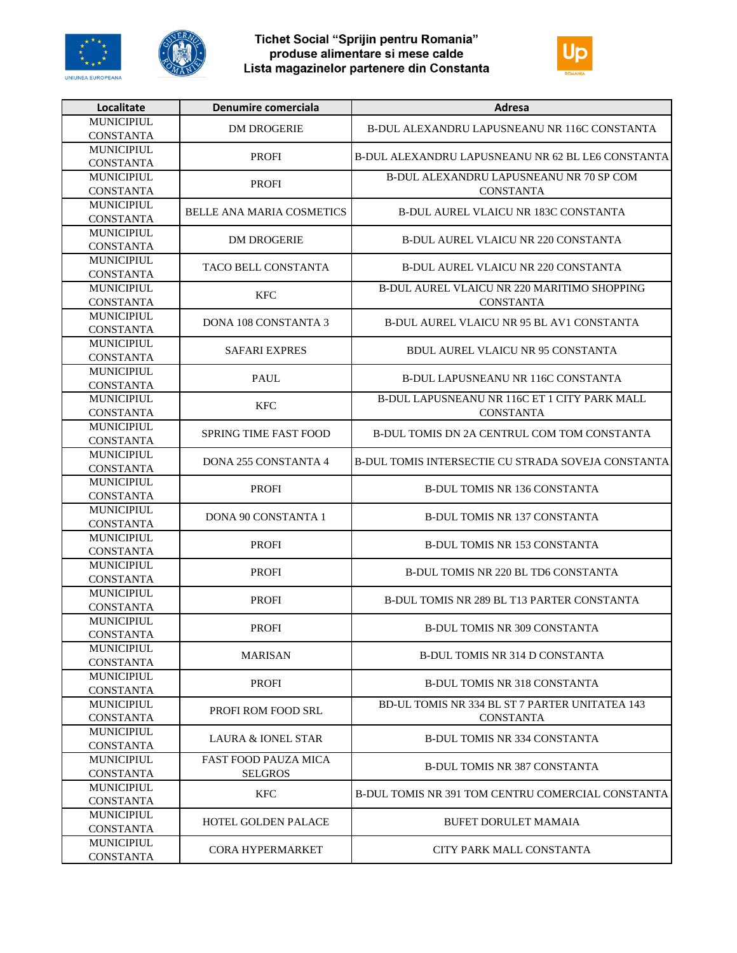





| Localitate        | Denumire comerciala           | <b>Adresa</b>                                      |
|-------------------|-------------------------------|----------------------------------------------------|
| <b>MUNICIPIUL</b> | <b>DM DROGERIE</b>            | B-DUL ALEXANDRU LAPUSNEANU NR 116C CONSTANTA       |
| <b>CONSTANTA</b>  |                               |                                                    |
| <b>MUNICIPIUL</b> | <b>PROFI</b>                  | B-DUL ALEXANDRU LAPUSNEANU NR 62 BL LE6 CONSTANTA  |
| <b>CONSTANTA</b>  |                               |                                                    |
| <b>MUNICIPIUL</b> | <b>PROFI</b>                  | B-DUL ALEXANDRU LAPUSNEANU NR 70 SP COM            |
| <b>CONSTANTA</b>  |                               | <b>CONSTANTA</b>                                   |
| <b>MUNICIPIUL</b> | BELLE ANA MARIA COSMETICS     |                                                    |
| <b>CONSTANTA</b>  |                               | <b>B-DUL AUREL VLAICU NR 183C CONSTANTA</b>        |
| <b>MUNICIPIUL</b> | <b>DM DROGERIE</b>            | <b>B-DUL AUREL VLAICU NR 220 CONSTANTA</b>         |
| <b>CONSTANTA</b>  |                               |                                                    |
| MUNICIPIUL        | TACO BELL CONSTANTA           | <b>B-DUL AUREL VLAICU NR 220 CONSTANTA</b>         |
| <b>CONSTANTA</b>  |                               |                                                    |
| <b>MUNICIPIUL</b> | <b>KFC</b>                    | B-DUL AUREL VLAICU NR 220 MARITIMO SHOPPING        |
| <b>CONSTANTA</b>  |                               | <b>CONSTANTA</b>                                   |
| <b>MUNICIPIUL</b> |                               |                                                    |
| <b>CONSTANTA</b>  | <b>DONA 108 CONSTANTA 3</b>   | <b>B-DUL AUREL VLAICU NR 95 BL AV1 CONSTANTA</b>   |
| <b>MUNICIPIUL</b> |                               |                                                    |
| <b>CONSTANTA</b>  | <b>SAFARI EXPRES</b>          | <b>BDUL AUREL VLAICU NR 95 CONSTANTA</b>           |
| <b>MUNICIPIUL</b> |                               |                                                    |
| <b>CONSTANTA</b>  | <b>PAUL</b>                   | <b>B-DUL LAPUSNEANU NR 116C CONSTANTA</b>          |
| <b>MUNICIPIUL</b> |                               | B-DUL LAPUSNEANU NR 116C ET 1 CITY PARK MALL       |
| <b>CONSTANTA</b>  | <b>KFC</b>                    | <b>CONSTANTA</b>                                   |
| <b>MUNICIPIUL</b> |                               |                                                    |
| <b>CONSTANTA</b>  | SPRING TIME FAST FOOD         | B-DUL TOMIS DN 2A CENTRUL COM TOM CONSTANTA        |
| <b>MUNICIPIUL</b> |                               |                                                    |
| <b>CONSTANTA</b>  | <b>DONA 255 CONSTANTA 4</b>   | B-DUL TOMIS INTERSECTIE CU STRADA SOVEJA CONSTANTA |
| <b>MUNICIPIUL</b> |                               |                                                    |
| <b>CONSTANTA</b>  | <b>PROFI</b>                  | <b>B-DUL TOMIS NR 136 CONSTANTA</b>                |
| <b>MUNICIPIUL</b> |                               | <b>B-DUL TOMIS NR 137 CONSTANTA</b>                |
| <b>CONSTANTA</b>  | <b>DONA 90 CONSTANTA 1</b>    |                                                    |
| <b>MUNICIPIUL</b> |                               |                                                    |
| <b>CONSTANTA</b>  | <b>PROFI</b>                  | <b>B-DUL TOMIS NR 153 CONSTANTA</b>                |
| <b>MUNICIPIUL</b> |                               |                                                    |
| <b>CONSTANTA</b>  | <b>PROFI</b>                  | B-DUL TOMIS NR 220 BL TD6 CONSTANTA                |
| MUNICIPIUL        |                               |                                                    |
| <b>CONSTANTA</b>  | <b>PROFI</b>                  | B-DUL TOMIS NR 289 BL T13 PARTER CONSTANTA         |
| <b>MUNICIPIUL</b> |                               |                                                    |
| <b>CONSTANTA</b>  | <b>PROFI</b>                  | <b>B-DUL TOMIS NR 309 CONSTANTA</b>                |
| <b>MUNICIPIUL</b> |                               |                                                    |
| <b>CONSTANTA</b>  | <b>MARISAN</b>                | <b>B-DUL TOMIS NR 314 D CONSTANTA</b>              |
| <b>MUNICIPIUL</b> |                               |                                                    |
| <b>CONSTANTA</b>  | <b>PROFI</b>                  | <b>B-DUL TOMIS NR 318 CONSTANTA</b>                |
| <b>MUNICIPIUL</b> |                               | BD-UL TOMIS NR 334 BL ST 7 PARTER UNITATEA 143     |
| <b>CONSTANTA</b>  | PROFI ROM FOOD SRL            | <b>CONSTANTA</b>                                   |
| <b>MUNICIPIUL</b> |                               |                                                    |
| <b>CONSTANTA</b>  | <b>LAURA &amp; IONEL STAR</b> | <b>B-DUL TOMIS NR 334 CONSTANTA</b>                |
| <b>MUNICIPIUL</b> | FAST FOOD PAUZA MICA          |                                                    |
| <b>CONSTANTA</b>  | <b>SELGROS</b>                | <b>B-DUL TOMIS NR 387 CONSTANTA</b>                |
| <b>MUNICIPIUL</b> |                               |                                                    |
| <b>CONSTANTA</b>  | <b>KFC</b>                    | B-DUL TOMIS NR 391 TOM CENTRU COMERCIAL CONSTANTA  |
| <b>MUNICIPIUL</b> |                               |                                                    |
| <b>CONSTANTA</b>  | HOTEL GOLDEN PALACE           | <b>BUFET DORULET MAMAIA</b>                        |
| <b>MUNICIPIUL</b> |                               | CITY PARK MALL CONSTANTA                           |
| <b>CONSTANTA</b>  | <b>CORA HYPERMARKET</b>       |                                                    |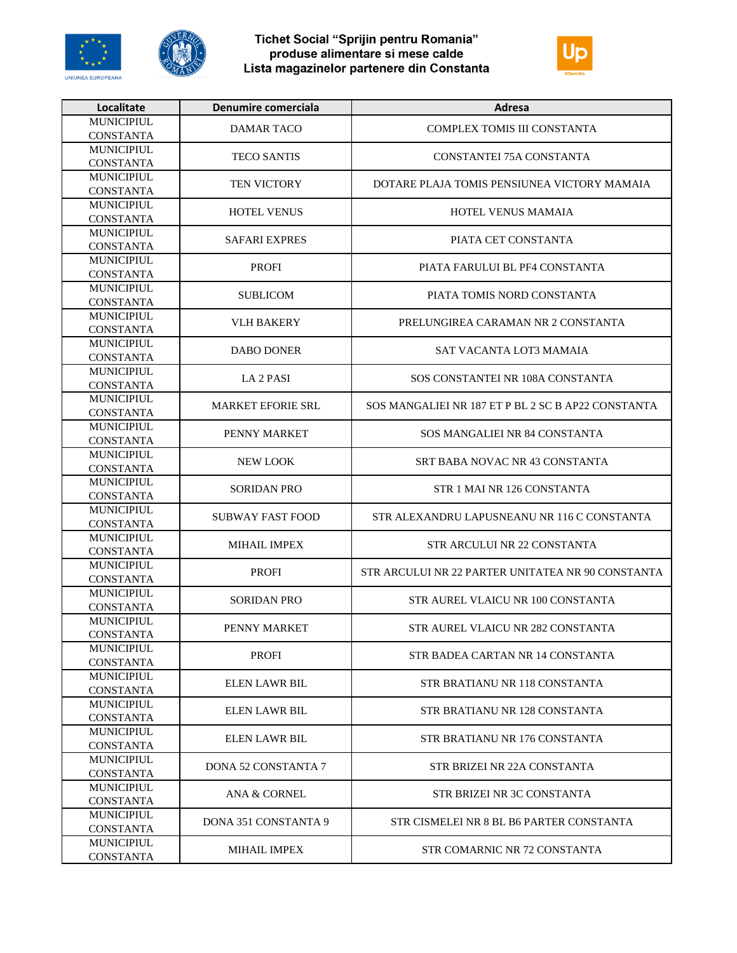





| Localitate                            | Denumire comerciala      | Adresa                                             |
|---------------------------------------|--------------------------|----------------------------------------------------|
| <b>MUNICIPIUL</b>                     | DAMAR TACO               | COMPLEX TOMIS III CONSTANTA                        |
| <b>CONSTANTA</b>                      |                          |                                                    |
| <b>MUNICIPIUL</b>                     | <b>TECO SANTIS</b>       | CONSTANTEI 75A CONSTANTA                           |
| <b>CONSTANTA</b>                      |                          |                                                    |
| <b>MUNICIPIUL</b>                     | TEN VICTORY              | DOTARE PLAJA TOMIS PENSIUNEA VICTORY MAMAIA        |
| <b>CONSTANTA</b>                      |                          |                                                    |
| <b>MUNICIPIUL</b>                     |                          |                                                    |
| <b>CONSTANTA</b>                      | <b>HOTEL VENUS</b>       | HOTEL VENUS MAMAIA                                 |
| <b>MUNICIPIUL</b>                     |                          |                                                    |
| <b>CONSTANTA</b>                      | <b>SAFARI EXPRES</b>     | PIATA CET CONSTANTA                                |
| <b>MUNICIPIUL</b>                     |                          |                                                    |
| <b>CONSTANTA</b>                      | <b>PROFI</b>             | PIATA FARULUI BL PF4 CONSTANTA                     |
| <b>MUNICIPIUL</b>                     |                          |                                                    |
| <b>CONSTANTA</b>                      | <b>SUBLICOM</b>          | PIATA TOMIS NORD CONSTANTA                         |
| <b>MUNICIPIUL</b>                     |                          |                                                    |
| <b>CONSTANTA</b>                      | <b>VLH BAKERY</b>        | PRELUNGIREA CARAMAN NR 2 CONSTANTA                 |
| <b>MUNICIPIUL</b>                     |                          |                                                    |
| <b>CONSTANTA</b>                      | <b>DABO DONER</b>        | SAT VACANTA LOT3 MAMAIA                            |
| MUNICIPIUL                            |                          |                                                    |
| <b>CONSTANTA</b>                      | LA 2 PASI                | SOS CONSTANTEI NR 108A CONSTANTA                   |
| <b>MUNICIPIUL</b>                     |                          |                                                    |
| <b>CONSTANTA</b>                      | <b>MARKET EFORIE SRL</b> | SOS MANGALIEI NR 187 ET P BL 2 SC B AP22 CONSTANTA |
| <b>MUNICIPIUL</b>                     |                          |                                                    |
| <b>CONSTANTA</b>                      | PENNY MARKET             | SOS MANGALIEI NR 84 CONSTANTA                      |
| <b>MUNICIPIUL</b>                     |                          |                                                    |
| <b>CONSTANTA</b>                      | <b>NEW LOOK</b>          | SRT BABA NOVAC NR 43 CONSTANTA                     |
| <b>MUNICIPIUL</b>                     |                          |                                                    |
| <b>CONSTANTA</b>                      | <b>SORIDAN PRO</b>       | STR 1 MAI NR 126 CONSTANTA                         |
| <b>MUNICIPIUL</b>                     |                          |                                                    |
| <b>CONSTANTA</b>                      | <b>SUBWAY FAST FOOD</b>  | STR ALEXANDRU LAPUSNEANU NR 116 C CONSTANTA        |
| <b>MUNICIPIUL</b>                     |                          |                                                    |
| <b>CONSTANTA</b>                      | <b>MIHAIL IMPEX</b>      | STR ARCULUI NR 22 CONSTANTA                        |
| <b>MUNICIPIUL</b>                     |                          |                                                    |
| <b>CONSTANTA</b>                      | <b>PROFI</b>             | STR ARCULUI NR 22 PARTER UNITATEA NR 90 CONSTANTA  |
| <b>MUNICIPIUL</b>                     |                          |                                                    |
|                                       | <b>SORIDAN PRO</b>       | STR AUREL VLAICU NR 100 CONSTANTA                  |
| <b>CONSTANTA</b><br><b>MUNICIPIUL</b> |                          |                                                    |
| <b>CONSTANTA</b>                      | PENNY MARKET             | STR AUREL VLAICU NR 282 CONSTANTA                  |
|                                       |                          |                                                    |
| <b>MUNICIPIUL</b><br><b>CONSTANTA</b> | <b>PROFI</b>             | STR BADEA CARTAN NR 14 CONSTANTA                   |
|                                       |                          |                                                    |
| <b>MUNICIPIUL</b>                     | ELEN LAWR BIL            | STR BRATIANU NR 118 CONSTANTA                      |
| <b>CONSTANTA</b>                      |                          |                                                    |
| <b>MUNICIPIUL</b><br><b>CONSTANTA</b> | <b>ELEN LAWR BIL</b>     | STR BRATIANU NR 128 CONSTANTA                      |
|                                       |                          |                                                    |
| <b>MUNICIPIUL</b>                     | <b>ELEN LAWR BIL</b>     | STR BRATIANU NR 176 CONSTANTA                      |
| <b>CONSTANTA</b>                      |                          |                                                    |
| <b>MUNICIPIUL</b>                     | DONA 52 CONSTANTA 7      | STR BRIZEI NR 22A CONSTANTA                        |
| <b>CONSTANTA</b>                      |                          |                                                    |
| <b>MUNICIPIUL</b>                     | <b>ANA &amp; CORNEL</b>  | STR BRIZEI NR 3C CONSTANTA                         |
| <b>CONSTANTA</b>                      |                          |                                                    |
| <b>MUNICIPIUL</b>                     | DONA 351 CONSTANTA 9     | STR CISMELEI NR 8 BL B6 PARTER CONSTANTA           |
| <b>CONSTANTA</b>                      |                          |                                                    |
| <b>MUNICIPIUL</b>                     | <b>MIHAIL IMPEX</b>      | STR COMARNIC NR 72 CONSTANTA                       |
| <b>CONSTANTA</b>                      |                          |                                                    |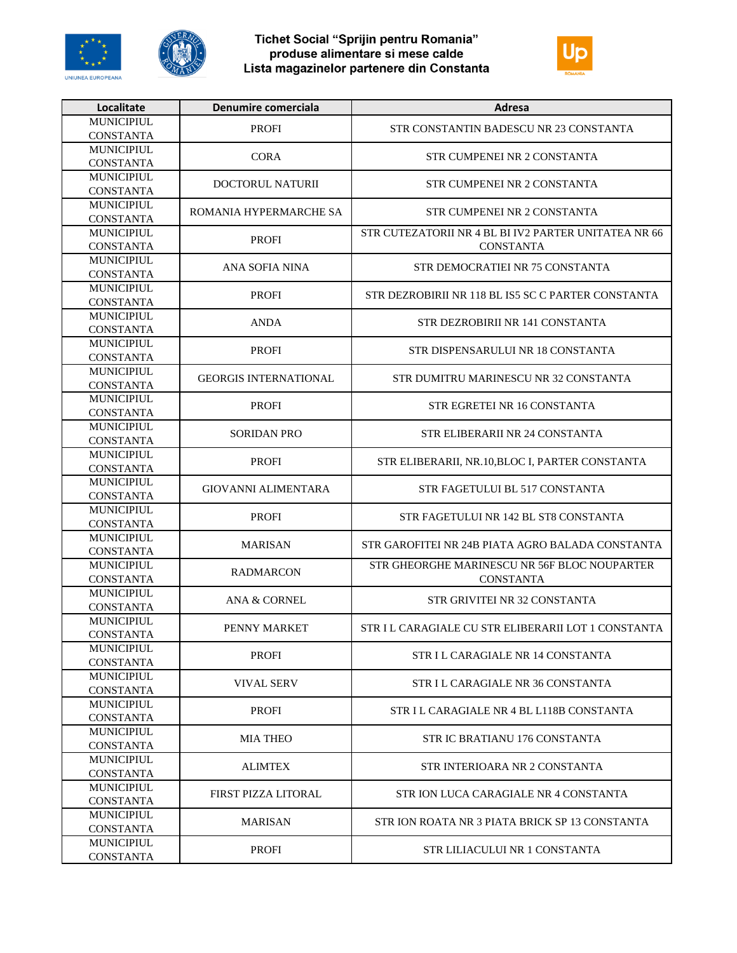





| Localitate                            | Denumire comerciala          | Adresa                                               |
|---------------------------------------|------------------------------|------------------------------------------------------|
| <b>MUNICIPIUL</b>                     | <b>PROFI</b>                 | STR CONSTANTIN BADESCU NR 23 CONSTANTA               |
| <b>CONSTANTA</b>                      |                              |                                                      |
| <b>MUNICIPIUL</b>                     | <b>CORA</b>                  | STR CUMPENEI NR 2 CONSTANTA                          |
| <b>CONSTANTA</b>                      |                              |                                                      |
| <b>MUNICIPIUL</b>                     | DOCTORUL NATURII             | STR CUMPENEI NR 2 CONSTANTA                          |
| <b>CONSTANTA</b>                      |                              |                                                      |
| <b>MUNICIPIUL</b>                     | ROMANIA HYPERMARCHE SA       | STR CUMPENEI NR 2 CONSTANTA                          |
| <b>CONSTANTA</b>                      |                              |                                                      |
| <b>MUNICIPIUL</b>                     | <b>PROFI</b>                 | STR CUTEZATORII NR 4 BL BI IV2 PARTER UNITATEA NR 66 |
| <b>CONSTANTA</b><br><b>MUNICIPIUL</b> |                              | <b>CONSTANTA</b>                                     |
| <b>CONSTANTA</b>                      | ANA SOFIA NINA               | STR DEMOCRATIEI NR 75 CONSTANTA                      |
| <b>MUNICIPIUL</b>                     |                              |                                                      |
| <b>CONSTANTA</b>                      | <b>PROFI</b>                 | STR DEZROBIRII NR 118 BL IS5 SC C PARTER CONSTANTA   |
| <b>MUNICIPIUL</b>                     |                              |                                                      |
| <b>CONSTANTA</b>                      | ANDA                         | STR DEZROBIRII NR 141 CONSTANTA                      |
| <b>MUNICIPIUL</b>                     |                              |                                                      |
| <b>CONSTANTA</b>                      | <b>PROFI</b>                 | STR DISPENSARULUI NR 18 CONSTANTA                    |
| <b>MUNICIPIUL</b>                     |                              |                                                      |
| <b>CONSTANTA</b>                      | <b>GEORGIS INTERNATIONAL</b> | STR DUMITRU MARINESCU NR 32 CONSTANTA                |
| <b>MUNICIPIUL</b>                     | <b>PROFI</b>                 | STR EGRETEI NR 16 CONSTANTA                          |
| <b>CONSTANTA</b>                      |                              |                                                      |
| <b>MUNICIPIUL</b>                     | <b>SORIDAN PRO</b>           | STR ELIBERARII NR 24 CONSTANTA                       |
| <b>CONSTANTA</b>                      |                              |                                                      |
| <b>MUNICIPIUL</b>                     | <b>PROFI</b>                 | STR ELIBERARII, NR.10, BLOC I, PARTER CONSTANTA      |
| <b>CONSTANTA</b>                      |                              |                                                      |
| <b>MUNICIPIUL</b>                     | <b>GIOVANNI ALIMENTARA</b>   | STR FAGETULUI BL 517 CONSTANTA                       |
| <b>CONSTANTA</b><br><b>MUNICIPIUL</b> |                              |                                                      |
| <b>CONSTANTA</b>                      | <b>PROFI</b>                 | STR FAGETULUI NR 142 BL ST8 CONSTANTA                |
| <b>MUNICIPIUL</b>                     |                              |                                                      |
| <b>CONSTANTA</b>                      | <b>MARISAN</b>               | STR GAROFITEI NR 24B PIATA AGRO BALADA CONSTANTA     |
| <b>MUNICIPIUL</b>                     |                              | STR GHEORGHE MARINESCU NR 56F BLOC NOUPARTER         |
| <b>CONSTANTA</b>                      | <b>RADMARCON</b>             | <b>CONSTANTA</b>                                     |
| <b>MUNICIPIUL</b>                     |                              |                                                      |
| <b>CONSTANTA</b>                      | <b>ANA &amp; CORNEL</b>      | STR GRIVITEI NR 32 CONSTANTA                         |
| <b>MUNICIPIUL</b>                     | PENNY MARKET                 | STR I L CARAGIALE CU STR ELIBERARII LOT 1 CONSTANTA  |
| <b>CONSTANTA</b>                      |                              |                                                      |
| <b>MUNICIPIUL</b>                     | <b>PROFI</b>                 | STR I L CARAGIALE NR 14 CONSTANTA                    |
| <b>CONSTANTA</b>                      |                              |                                                      |
| <b>MUNICIPIUL</b>                     | <b>VIVAL SERV</b>            | STR I L CARAGIALE NR 36 CONSTANTA                    |
| <b>CONSTANTA</b>                      |                              |                                                      |
| <b>MUNICIPIUL</b>                     | <b>PROFI</b>                 | STR I L CARAGIALE NR 4 BL L118B CONSTANTA            |
| <b>CONSTANTA</b>                      |                              |                                                      |
| <b>MUNICIPIUL</b><br><b>CONSTANTA</b> | <b>MIA THEO</b>              | STR IC BRATIANU 176 CONSTANTA                        |
| <b>MUNICIPIUL</b>                     |                              |                                                      |
| <b>CONSTANTA</b>                      | <b>ALIMTEX</b>               | STR INTERIOARA NR 2 CONSTANTA                        |
| <b>MUNICIPIUL</b>                     |                              |                                                      |
| <b>CONSTANTA</b>                      | FIRST PIZZA LITORAL          | STR ION LUCA CARAGIALE NR 4 CONSTANTA                |
| <b>MUNICIPIUL</b>                     |                              |                                                      |
| <b>CONSTANTA</b>                      | <b>MARISAN</b>               | STR ION ROATA NR 3 PIATA BRICK SP 13 CONSTANTA       |
| <b>MUNICIPIUL</b>                     | <b>PROFI</b>                 |                                                      |
| <b>CONSTANTA</b>                      |                              | STR LILIACULUI NR 1 CONSTANTA                        |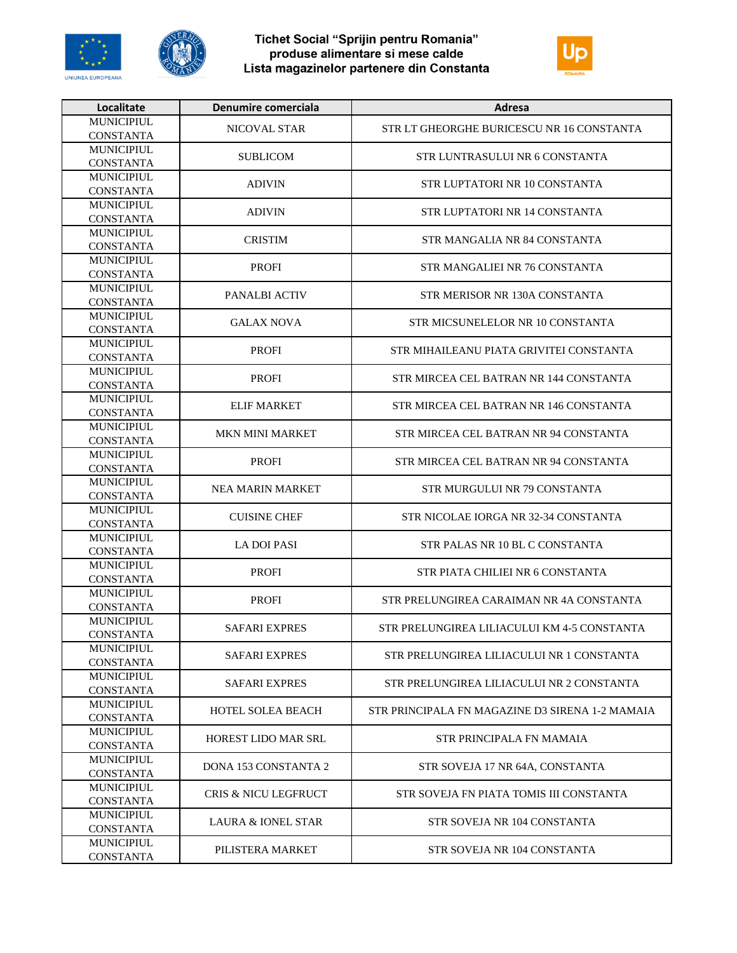





| Localitate        | Denumire comerciala           | Adresa                                          |
|-------------------|-------------------------------|-------------------------------------------------|
| <b>MUNICIPIUL</b> | NICOVAL STAR                  | STR LT GHEORGHE BURICESCU NR 16 CONSTANTA       |
| <b>CONSTANTA</b>  |                               |                                                 |
| <b>MUNICIPIUL</b> | <b>SUBLICOM</b>               | STR LUNTRASULUI NR 6 CONSTANTA                  |
| <b>CONSTANTA</b>  |                               |                                                 |
| <b>MUNICIPIUL</b> | <b>ADIVIN</b>                 | STR LUPTATORI NR 10 CONSTANTA                   |
| <b>CONSTANTA</b>  |                               |                                                 |
| <b>MUNICIPIUL</b> | <b>ADIVIN</b>                 | STR LUPTATORI NR 14 CONSTANTA                   |
| <b>CONSTANTA</b>  |                               |                                                 |
| <b>MUNICIPIUL</b> | <b>CRISTIM</b>                | STR MANGALIA NR 84 CONSTANTA                    |
| <b>CONSTANTA</b>  |                               |                                                 |
| <b>MUNICIPIUL</b> | <b>PROFI</b>                  | STR MANGALIEI NR 76 CONSTANTA                   |
| <b>CONSTANTA</b>  |                               |                                                 |
| <b>MUNICIPIUL</b> | PANALBI ACTIV                 | STR MERISOR NR 130A CONSTANTA                   |
| <b>CONSTANTA</b>  |                               |                                                 |
| <b>MUNICIPIUL</b> | <b>GALAX NOVA</b>             | STR MICSUNELELOR NR 10 CONSTANTA                |
| <b>CONSTANTA</b>  |                               |                                                 |
| <b>MUNICIPIUL</b> | <b>PROFI</b>                  | STR MIHAILEANU PIATA GRIVITEI CONSTANTA         |
| <b>CONSTANTA</b>  |                               |                                                 |
| <b>MUNICIPIUL</b> | <b>PROFI</b>                  | STR MIRCEA CEL BATRAN NR 144 CONSTANTA          |
| <b>CONSTANTA</b>  |                               |                                                 |
| <b>MUNICIPIUL</b> | <b>ELIF MARKET</b>            | STR MIRCEA CEL BATRAN NR 146 CONSTANTA          |
| <b>CONSTANTA</b>  |                               |                                                 |
| <b>MUNICIPIUL</b> | <b>MKN MINI MARKET</b>        | STR MIRCEA CEL BATRAN NR 94 CONSTANTA           |
| <b>CONSTANTA</b>  |                               |                                                 |
| <b>MUNICIPIUL</b> | <b>PROFI</b>                  | STR MIRCEA CEL BATRAN NR 94 CONSTANTA           |
| <b>CONSTANTA</b>  |                               |                                                 |
| <b>MUNICIPIUL</b> | <b>NEA MARIN MARKET</b>       | STR MURGULUI NR 79 CONSTANTA                    |
| <b>CONSTANTA</b>  |                               |                                                 |
| <b>MUNICIPIUL</b> | <b>CUISINE CHEF</b>           | STR NICOLAE IORGA NR 32-34 CONSTANTA            |
| <b>CONSTANTA</b>  |                               |                                                 |
| <b>MUNICIPIUL</b> | <b>LA DOI PASI</b>            | STR PALAS NR 10 BL C CONSTANTA                  |
| <b>CONSTANTA</b>  |                               |                                                 |
| <b>MUNICIPIUL</b> | <b>PROFI</b>                  | STR PIATA CHILIEI NR 6 CONSTANTA                |
| <b>CONSTANTA</b>  |                               |                                                 |
| <b>MUNICIPIUL</b> | <b>PROFI</b>                  | STR PRELUNGIREA CARAIMAN NR 4A CONSTANTA        |
| <b>CONSTANTA</b>  |                               |                                                 |
| <b>MUNICIPIUL</b> | <b>SAFARI EXPRES</b>          | STR PRELUNGIREA LILIACULUI KM 4-5 CONSTANTA     |
| <b>CONSTANTA</b>  |                               |                                                 |
| <b>MUNICIPIUL</b> | <b>SAFARI EXPRES</b>          | STR PRELUNGIREA LILIACULUI NR 1 CONSTANTA       |
| <b>CONSTANTA</b>  |                               |                                                 |
| <b>MUNICIPIUL</b> | <b>SAFARI EXPRES</b>          | STR PRELUNGIREA LILIACULUI NR 2 CONSTANTA       |
| <b>CONSTANTA</b>  |                               |                                                 |
| <b>MUNICIPIUL</b> | <b>HOTEL SOLEA BEACH</b>      | STR PRINCIPALA FN MAGAZINE D3 SIRENA 1-2 MAMAIA |
| <b>CONSTANTA</b>  |                               |                                                 |
| <b>MUNICIPIUL</b> | HOREST LIDO MAR SRL           | STR PRINCIPALA FN MAMAIA                        |
| <b>CONSTANTA</b>  |                               |                                                 |
| <b>MUNICIPIUL</b> | <b>DONA 153 CONSTANTA 2</b>   | STR SOVEJA 17 NR 64A, CONSTANTA                 |
| <b>CONSTANTA</b>  |                               |                                                 |
| <b>MUNICIPIUL</b> | CRIS & NICU LEGFRUCT          | STR SOVEJA FN PIATA TOMIS III CONSTANTA         |
| <b>CONSTANTA</b>  |                               |                                                 |
| <b>MUNICIPIUL</b> | <b>LAURA &amp; IONEL STAR</b> | STR SOVEJA NR 104 CONSTANTA                     |
| <b>CONSTANTA</b>  |                               |                                                 |
| MUNICIPIUL        | PILISTERA MARKET              | STR SOVEJA NR 104 CONSTANTA                     |
| <b>CONSTANTA</b>  |                               |                                                 |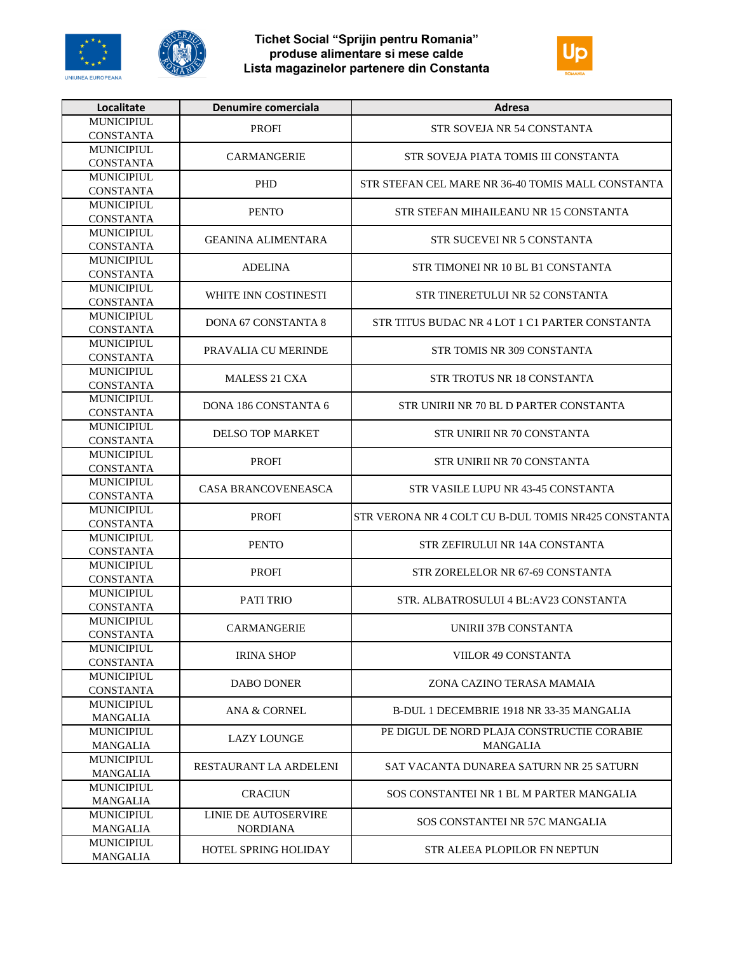





| Localitate                            | Denumire comerciala         | Adresa                                              |
|---------------------------------------|-----------------------------|-----------------------------------------------------|
| <b>MUNICIPIUL</b>                     | <b>PROFI</b>                | STR SOVEJA NR 54 CONSTANTA                          |
| <b>CONSTANTA</b>                      |                             |                                                     |
| <b>MUNICIPIUL</b>                     | <b>CARMANGERIE</b>          | STR SOVEJA PIATA TOMIS III CONSTANTA                |
| <b>CONSTANTA</b>                      |                             |                                                     |
| MUNICIPIUL                            | <b>PHD</b>                  | STR STEFAN CEL MARE NR 36-40 TOMIS MALL CONSTANTA   |
| <b>CONSTANTA</b>                      |                             |                                                     |
| <b>MUNICIPIUL</b>                     | <b>PENTO</b>                | STR STEFAN MIHAILEANU NR 15 CONSTANTA               |
| <b>CONSTANTA</b>                      |                             |                                                     |
| <b>MUNICIPIUL</b>                     | <b>GEANINA ALIMENTARA</b>   | STR SUCEVEI NR 5 CONSTANTA                          |
| <b>CONSTANTA</b><br><b>MUNICIPIUL</b> |                             |                                                     |
| <b>CONSTANTA</b>                      | <b>ADELINA</b>              | STR TIMONEI NR 10 BL B1 CONSTANTA                   |
| MUNICIPIUL                            |                             |                                                     |
| <b>CONSTANTA</b>                      | WHITE INN COSTINESTI        | STR TINERETULUI NR 52 CONSTANTA                     |
| MUNICIPIUL                            |                             |                                                     |
| <b>CONSTANTA</b>                      | <b>DONA 67 CONSTANTA 8</b>  | STR TITUS BUDAC NR 4 LOT 1 C1 PARTER CONSTANTA      |
| <b>MUNICIPIUL</b>                     |                             |                                                     |
| <b>CONSTANTA</b>                      | PRAVALIA CU MERINDE         | STR TOMIS NR 309 CONSTANTA                          |
| MUNICIPIUL                            |                             |                                                     |
| <b>CONSTANTA</b>                      | <b>MALESS 21 CXA</b>        | STR TROTUS NR 18 CONSTANTA                          |
| <b>MUNICIPIUL</b>                     | <b>DONA 186 CONSTANTA 6</b> | STR UNIRII NR 70 BL D PARTER CONSTANTA              |
| <b>CONSTANTA</b>                      |                             |                                                     |
| <b>MUNICIPIUL</b>                     | <b>DELSO TOP MARKET</b>     | STR UNIRII NR 70 CONSTANTA                          |
| <b>CONSTANTA</b>                      |                             |                                                     |
| <b>MUNICIPIUL</b>                     | <b>PROFI</b>                | STR UNIRII NR 70 CONSTANTA                          |
| <b>CONSTANTA</b>                      |                             |                                                     |
| <b>MUNICIPIUL</b>                     | CASA BRANCOVENEASCA         | STR VASILE LUPU NR 43-45 CONSTANTA                  |
| <b>CONSTANTA</b>                      |                             |                                                     |
| MUNICIPIUL                            | PROFI                       | STR VERONA NR 4 COLT CU B-DUL TOMIS NR425 CONSTANTA |
| <b>CONSTANTA</b>                      |                             |                                                     |
| MUNICIPIUL                            | <b>PENTO</b>                | STR ZEFIRULUI NR 14A CONSTANTA                      |
| <b>CONSTANTA</b><br><b>MUNICIPIUL</b> |                             |                                                     |
| <b>CONSTANTA</b>                      | <b>PROFI</b>                | STR ZORELELOR NR 67-69 CONSTANTA                    |
| <b>MUNICIPIUL</b>                     |                             |                                                     |
| <b>CONSTANTA</b>                      | <b>PATI TRIO</b>            | STR. ALBATROSULUI 4 BL: AV23 CONSTANTA              |
| <b>MUNICIPIUL</b>                     |                             |                                                     |
| <b>CONSTANTA</b>                      | <b>CARMANGERIE</b>          | UNIRII 37B CONSTANTA                                |
| <b>MUNICIPIUL</b>                     |                             |                                                     |
| <b>CONSTANTA</b>                      | <b>IRINA SHOP</b>           | VIILOR 49 CONSTANTA                                 |
| <b>MUNICIPIUL</b>                     | DABO DONER                  | ZONA CAZINO TERASA MAMAIA                           |
| <b>CONSTANTA</b>                      |                             |                                                     |
| <b>MUNICIPIUL</b>                     | <b>ANA &amp; CORNEL</b>     | B-DUL 1 DECEMBRIE 1918 NR 33-35 MANGALIA            |
| <b>MANGALIA</b>                       |                             |                                                     |
| <b>MUNICIPIUL</b>                     | <b>LAZY LOUNGE</b>          | PE DIGUL DE NORD PLAJA CONSTRUCTIE CORABIE          |
| MANGALIA                              |                             | MANGALIA                                            |
| <b>MUNICIPIUL</b>                     | RESTAURANT LA ARDELENI      | SAT VACANTA DUNAREA SATURN NR 25 SATURN             |
| MANGALIA<br><b>MUNICIPIUL</b>         |                             |                                                     |
| <b>MANGALIA</b>                       | <b>CRACIUN</b>              | SOS CONSTANTEI NR 1 BL M PARTER MANGALIA            |
| <b>MUNICIPIUL</b>                     | LINIE DE AUTOSERVIRE        |                                                     |
| MANGALIA                              | <b>NORDIANA</b>             | SOS CONSTANTEI NR 57C MANGALIA                      |
| <b>MUNICIPIUL</b>                     |                             |                                                     |
| <b>MANGALIA</b>                       | HOTEL SPRING HOLIDAY        | STR ALEEA PLOPILOR FN NEPTUN                        |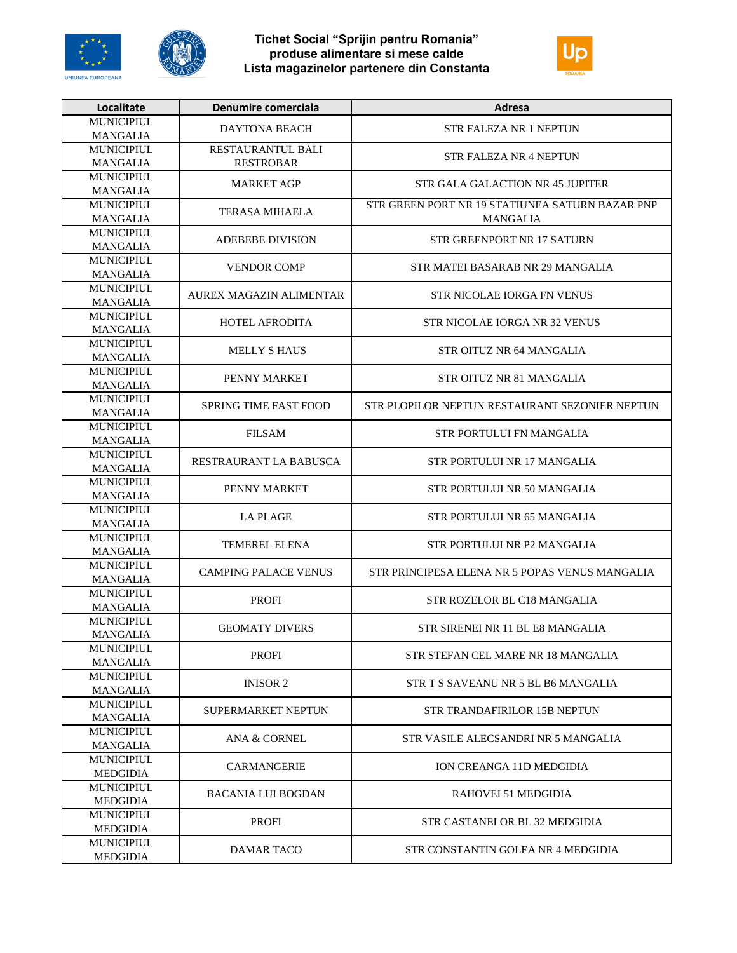





| Localitate                           | Denumire comerciala          | <b>Adresa</b>                                   |
|--------------------------------------|------------------------------|-------------------------------------------------|
| <b>MUNICIPIUL</b>                    | <b>DAYTONA BEACH</b>         | <b>STR FALEZA NR 1 NEPTUN</b>                   |
| <b>MANGALIA</b>                      |                              |                                                 |
| <b>MUNICIPIUL</b>                    | RESTAURANTUL BALI            | <b>STR FALEZA NR 4 NEPTUN</b>                   |
| <b>MANGALIA</b>                      | <b>RESTROBAR</b>             |                                                 |
| <b>MUNICIPIUL</b>                    | <b>MARKET AGP</b>            | STR GALA GALACTION NR 45 JUPITER                |
| <b>MANGALIA</b>                      |                              |                                                 |
| <b>MUNICIPIUL</b>                    | <b>TERASA MIHAELA</b>        | STR GREEN PORT NR 19 STATIUNEA SATURN BAZAR PNP |
| <b>MANGALIA</b><br><b>MUNICIPIUL</b> |                              | <b>MANGALIA</b>                                 |
| <b>MANGALIA</b>                      | <b>ADEBEBE DIVISION</b>      | STR GREENPORT NR 17 SATURN                      |
| <b>MUNICIPIUL</b>                    |                              |                                                 |
| <b>MANGALIA</b>                      | <b>VENDOR COMP</b>           | STR MATEI BASARAB NR 29 MANGALIA                |
| <b>MUNICIPIUL</b>                    |                              |                                                 |
| <b>MANGALIA</b>                      | AUREX MAGAZIN ALIMENTAR      | STR NICOLAE IORGA FN VENUS                      |
| <b>MUNICIPIUL</b>                    |                              |                                                 |
| <b>MANGALIA</b>                      | <b>HOTEL AFRODITA</b>        | STR NICOLAE IORGA NR 32 VENUS                   |
| <b>MUNICIPIUL</b>                    |                              |                                                 |
| MANGALIA                             | <b>MELLY S HAUS</b>          | STR OITUZ NR 64 MANGALIA                        |
| <b>MUNICIPIUL</b>                    | PENNY MARKET                 | STR OITUZ NR 81 MANGALIA                        |
| <b>MANGALIA</b>                      |                              |                                                 |
| MUNICIPIUL                           | <b>SPRING TIME FAST FOOD</b> | STR PLOPILOR NEPTUN RESTAURANT SEZONIER NEPTUN  |
| <b>MANGALIA</b>                      |                              |                                                 |
| <b>MUNICIPIUL</b>                    | <b>FILSAM</b>                | STR PORTULUI FN MANGALIA                        |
| <b>MANGALIA</b>                      |                              |                                                 |
| <b>MUNICIPIUL</b>                    | RESTRAURANT LA BABUSCA       | STR PORTULUI NR 17 MANGALIA                     |
| <b>MANGALIA</b>                      |                              |                                                 |
| <b>MUNICIPIUL</b>                    | PENNY MARKET                 | STR PORTULUI NR 50 MANGALIA                     |
| <b>MANGALIA</b><br><b>MUNICIPIUL</b> |                              |                                                 |
|                                      | <b>LA PLAGE</b>              | STR PORTULUI NR 65 MANGALIA                     |
| <b>MANGALIA</b><br><b>MUNICIPIUL</b> |                              |                                                 |
| <b>MANGALIA</b>                      | TEMEREL ELENA                | STR PORTULUI NR P2 MANGALIA                     |
| <b>MUNICIPIUL</b>                    |                              |                                                 |
| <b>MANGALIA</b>                      | <b>CAMPING PALACE VENUS</b>  | STR PRINCIPESA ELENA NR 5 POPAS VENUS MANGALIA  |
| <b>MUNICIPIUL</b>                    |                              |                                                 |
| <b>MANGALIA</b>                      | <b>PROFI</b>                 | STR ROZELOR BL C18 MANGALIA                     |
| <b>MUNICIPIUL</b>                    |                              |                                                 |
| <b>MANGALIA</b>                      | <b>GEOMATY DIVERS</b>        | STR SIRENEI NR 11 BL E8 MANGALIA                |
| <b>MUNICIPIUL</b>                    | <b>PROFI</b>                 | STR STEFAN CEL MARE NR 18 MANGALIA              |
| <b>MANGALIA</b>                      |                              |                                                 |
| <b>MUNICIPIUL</b>                    | <b>INISOR 2</b>              | STR T S SAVEANU NR 5 BL B6 MANGALIA             |
| <b>MANGALIA</b>                      |                              |                                                 |
| <b>MUNICIPIUL</b>                    | SUPERMARKET NEPTUN           | STR TRANDAFIRILOR 15B NEPTUN                    |
| <b>MANGALIA</b>                      |                              |                                                 |
| <b>MUNICIPIUL</b>                    | <b>ANA &amp; CORNEL</b>      | STR VASILE ALECSANDRI NR 5 MANGALIA             |
| <b>MANGALIA</b><br>MUNICIPIUL.       |                              |                                                 |
| MEDGIDIA                             | <b>CARMANGERIE</b>           | ION CREANGA 11D MEDGIDIA                        |
| <b>MUNICIPIUL</b>                    |                              |                                                 |
| MEDGIDIA                             | BACANIA LUI BOGDAN           | RAHOVEI 51 MEDGIDIA                             |
| <b>MUNICIPIUL</b>                    |                              |                                                 |
| MEDGIDIA                             | <b>PROFI</b>                 | STR CASTANELOR BL 32 MEDGIDIA                   |
| <b>MUNICIPIUL</b>                    |                              | STR CONSTANTIN GOLEA NR 4 MEDGIDIA              |
| <b>MEDGIDIA</b>                      | <b>DAMAR TACO</b>            |                                                 |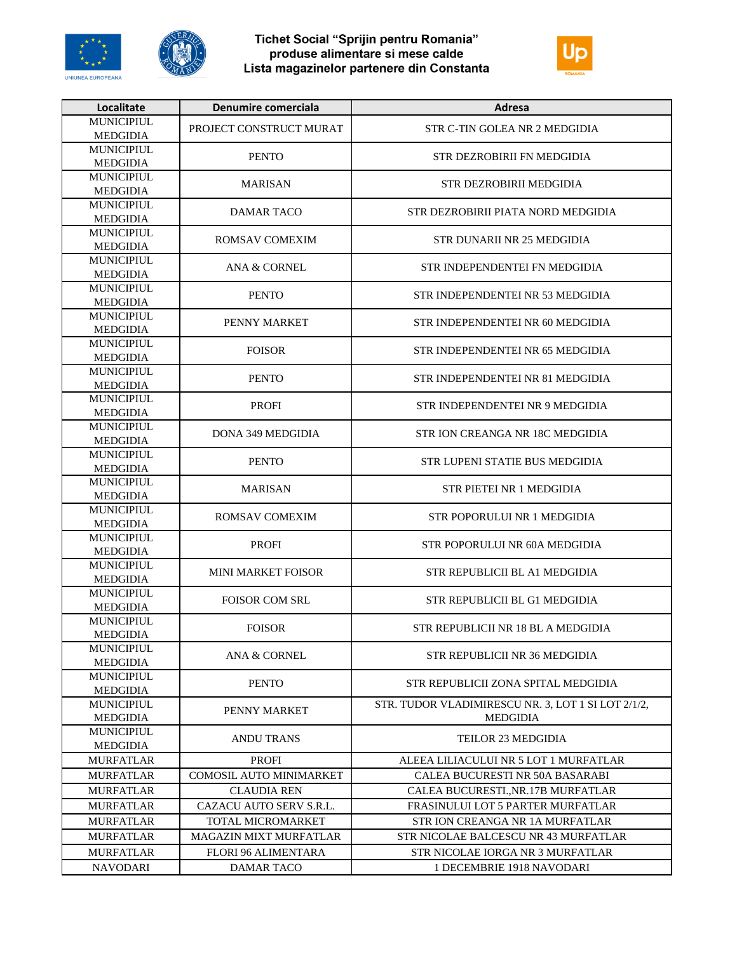





| <b>MUNICIPIUL</b><br>PROJECT CONSTRUCT MURAT<br>STR C-TIN GOLEA NR 2 MEDGIDIA<br><b>MEDGIDIA</b><br>MUNICIPIUL<br><b>PENTO</b><br>STR DEZROBIRII FN MEDGIDIA<br><b>MEDGIDIA</b><br><b>MUNICIPIUL</b><br><b>MARISAN</b><br><b>STR DEZROBIRII MEDGIDIA</b><br><b>MEDGIDIA</b><br><b>MUNICIPIUL</b><br><b>DAMAR TACO</b><br>STR DEZROBIRII PIATA NORD MEDGIDIA<br><b>MEDGIDIA</b><br><b>MUNICIPIUL</b><br><b>ROMSAV COMEXIM</b><br>STR DUNARII NR 25 MEDGIDIA<br><b>MEDGIDIA</b><br><b>MUNICIPIUL</b><br><b>ANA &amp; CORNEL</b><br>STR INDEPENDENTEI FN MEDGIDIA<br><b>MEDGIDIA</b><br><b>MUNICIPIUL</b><br><b>PENTO</b><br>STR INDEPENDENTEI NR 53 MEDGIDIA<br><b>MEDGIDIA</b><br><b>MUNICIPIUL</b><br>PENNY MARKET<br>STR INDEPENDENTEI NR 60 MEDGIDIA<br><b>MEDGIDIA</b><br><b>MUNICIPIUL</b><br><b>FOISOR</b><br>STR INDEPENDENTEI NR 65 MEDGIDIA<br>MEDGIDIA<br><b>MUNICIPIUL</b><br><b>PENTO</b><br>STR INDEPENDENTEI NR 81 MEDGIDIA<br><b>MEDGIDIA</b><br><b>MUNICIPIUL</b><br><b>PROFI</b><br>STR INDEPENDENTEI NR 9 MEDGIDIA<br><b>MEDGIDIA</b><br><b>MUNICIPIUL</b><br><b>DONA 349 MEDGIDIA</b><br>STR JON CREANGA NR 18C MEDGIDIA<br><b>MEDGIDIA</b><br><b>MUNICIPIUL</b><br><b>PENTO</b><br>STR LUPENI STATIE BUS MEDGIDIA<br><b>MEDGIDIA</b><br><b>MUNICIPIUL</b><br><b>MARISAN</b><br>STR PIETEI NR 1 MEDGIDIA<br><b>MEDGIDIA</b><br><b>MUNICIPIUL</b><br>ROMSAV COMEXIM<br>STR POPORULUI NR 1 MEDGIDIA<br><b>MEDGIDIA</b><br><b>MUNICIPIUL</b><br><b>PROFI</b><br>STR POPORULUI NR 60A MEDGIDIA<br><b>MEDGIDIA</b><br><b>MUNICIPIUL</b><br><b>MINI MARKET FOISOR</b><br>STR REPUBLICII BL A1 MEDGIDIA<br><b>MEDGIDIA</b><br><b>MUNICIPIUL</b><br><b>FOISOR COM SRL</b><br>STR REPUBLICII BL G1 MEDGIDIA<br><b>MEDGIDIA</b><br>MUNICIPIUL<br><b>FOISOR</b><br>STR REPUBLICII NR 18 BL A MEDGIDIA<br><b>MEDGIDIA</b><br><b>MUNICIPIUL</b><br>ANA & CORNEL<br>STR REPUBLICII NR 36 MEDGIDIA<br><b>MEDGIDIA</b><br><b>MUNICIPIUL</b><br><b>PENTO</b><br>STR REPUBLICII ZONA SPITAL MEDGIDIA<br><b>MEDGIDIA</b><br><b>MUNICIPIUL</b><br>STR. TUDOR VLADIMIRESCU NR. 3, LOT 1 SI LOT 2/1/2,<br>PENNY MARKET<br><b>MEDGIDIA</b><br><b>MEDGIDIA</b><br><b>MUNICIPIUL</b><br><b>ANDU TRANS</b><br><b>TEILOR 23 MEDGIDIA</b><br><b>MEDGIDIA</b><br><b>PROFI</b><br><b>MURFATLAR</b><br>ALEEA LILIACULUI NR 5 LOT 1 MURFATLAR<br>COMOSIL AUTO MINIMARKET<br>CALEA BUCURESTI NR 50A BASARABI<br><b>MURFATLAR</b><br>CALEA BUCURESTINR.17B MURFATLAR<br>MURFATLAR<br><b>CLAUDIA REN</b><br><b>MURFATLAR</b><br>FRASINULUI LOT 5 PARTER MURFATLAR<br>CAZACU AUTO SERV S.R.L.<br><b>MURFATLAR</b><br><b>TOTAL MICROMARKET</b><br>STR ION CREANGA NR 1A MURFATLAR<br>MURFATLAR<br><b>MAGAZIN MIXT MURFATLAR</b><br>STR NICOLAE BALCESCU NR 43 MURFATLAR<br><b>MURFATLAR</b><br><b>FLORI 96 ALIMENTARA</b><br>STR NICOLAE IORGA NR 3 MURFATLAR | Localitate      | Denumire comerciala | Adresa                    |
|--------------------------------------------------------------------------------------------------------------------------------------------------------------------------------------------------------------------------------------------------------------------------------------------------------------------------------------------------------------------------------------------------------------------------------------------------------------------------------------------------------------------------------------------------------------------------------------------------------------------------------------------------------------------------------------------------------------------------------------------------------------------------------------------------------------------------------------------------------------------------------------------------------------------------------------------------------------------------------------------------------------------------------------------------------------------------------------------------------------------------------------------------------------------------------------------------------------------------------------------------------------------------------------------------------------------------------------------------------------------------------------------------------------------------------------------------------------------------------------------------------------------------------------------------------------------------------------------------------------------------------------------------------------------------------------------------------------------------------------------------------------------------------------------------------------------------------------------------------------------------------------------------------------------------------------------------------------------------------------------------------------------------------------------------------------------------------------------------------------------------------------------------------------------------------------------------------------------------------------------------------------------------------------------------------------------------------------------------------------------------------------------------------------------------------------------------------------------------------------------------------------------------------------------------------------------------------------------------------------------------------------------------------------------------------------------------------------------------------------------------------------------------------------------------------------------------------------------|-----------------|---------------------|---------------------------|
|                                                                                                                                                                                                                                                                                                                                                                                                                                                                                                                                                                                                                                                                                                                                                                                                                                                                                                                                                                                                                                                                                                                                                                                                                                                                                                                                                                                                                                                                                                                                                                                                                                                                                                                                                                                                                                                                                                                                                                                                                                                                                                                                                                                                                                                                                                                                                                                                                                                                                                                                                                                                                                                                                                                                                                                                                                            |                 |                     |                           |
|                                                                                                                                                                                                                                                                                                                                                                                                                                                                                                                                                                                                                                                                                                                                                                                                                                                                                                                                                                                                                                                                                                                                                                                                                                                                                                                                                                                                                                                                                                                                                                                                                                                                                                                                                                                                                                                                                                                                                                                                                                                                                                                                                                                                                                                                                                                                                                                                                                                                                                                                                                                                                                                                                                                                                                                                                                            |                 |                     |                           |
|                                                                                                                                                                                                                                                                                                                                                                                                                                                                                                                                                                                                                                                                                                                                                                                                                                                                                                                                                                                                                                                                                                                                                                                                                                                                                                                                                                                                                                                                                                                                                                                                                                                                                                                                                                                                                                                                                                                                                                                                                                                                                                                                                                                                                                                                                                                                                                                                                                                                                                                                                                                                                                                                                                                                                                                                                                            |                 |                     |                           |
|                                                                                                                                                                                                                                                                                                                                                                                                                                                                                                                                                                                                                                                                                                                                                                                                                                                                                                                                                                                                                                                                                                                                                                                                                                                                                                                                                                                                                                                                                                                                                                                                                                                                                                                                                                                                                                                                                                                                                                                                                                                                                                                                                                                                                                                                                                                                                                                                                                                                                                                                                                                                                                                                                                                                                                                                                                            |                 |                     |                           |
|                                                                                                                                                                                                                                                                                                                                                                                                                                                                                                                                                                                                                                                                                                                                                                                                                                                                                                                                                                                                                                                                                                                                                                                                                                                                                                                                                                                                                                                                                                                                                                                                                                                                                                                                                                                                                                                                                                                                                                                                                                                                                                                                                                                                                                                                                                                                                                                                                                                                                                                                                                                                                                                                                                                                                                                                                                            |                 |                     |                           |
|                                                                                                                                                                                                                                                                                                                                                                                                                                                                                                                                                                                                                                                                                                                                                                                                                                                                                                                                                                                                                                                                                                                                                                                                                                                                                                                                                                                                                                                                                                                                                                                                                                                                                                                                                                                                                                                                                                                                                                                                                                                                                                                                                                                                                                                                                                                                                                                                                                                                                                                                                                                                                                                                                                                                                                                                                                            |                 |                     |                           |
|                                                                                                                                                                                                                                                                                                                                                                                                                                                                                                                                                                                                                                                                                                                                                                                                                                                                                                                                                                                                                                                                                                                                                                                                                                                                                                                                                                                                                                                                                                                                                                                                                                                                                                                                                                                                                                                                                                                                                                                                                                                                                                                                                                                                                                                                                                                                                                                                                                                                                                                                                                                                                                                                                                                                                                                                                                            |                 |                     |                           |
|                                                                                                                                                                                                                                                                                                                                                                                                                                                                                                                                                                                                                                                                                                                                                                                                                                                                                                                                                                                                                                                                                                                                                                                                                                                                                                                                                                                                                                                                                                                                                                                                                                                                                                                                                                                                                                                                                                                                                                                                                                                                                                                                                                                                                                                                                                                                                                                                                                                                                                                                                                                                                                                                                                                                                                                                                                            |                 |                     |                           |
|                                                                                                                                                                                                                                                                                                                                                                                                                                                                                                                                                                                                                                                                                                                                                                                                                                                                                                                                                                                                                                                                                                                                                                                                                                                                                                                                                                                                                                                                                                                                                                                                                                                                                                                                                                                                                                                                                                                                                                                                                                                                                                                                                                                                                                                                                                                                                                                                                                                                                                                                                                                                                                                                                                                                                                                                                                            |                 |                     |                           |
|                                                                                                                                                                                                                                                                                                                                                                                                                                                                                                                                                                                                                                                                                                                                                                                                                                                                                                                                                                                                                                                                                                                                                                                                                                                                                                                                                                                                                                                                                                                                                                                                                                                                                                                                                                                                                                                                                                                                                                                                                                                                                                                                                                                                                                                                                                                                                                                                                                                                                                                                                                                                                                                                                                                                                                                                                                            |                 |                     |                           |
|                                                                                                                                                                                                                                                                                                                                                                                                                                                                                                                                                                                                                                                                                                                                                                                                                                                                                                                                                                                                                                                                                                                                                                                                                                                                                                                                                                                                                                                                                                                                                                                                                                                                                                                                                                                                                                                                                                                                                                                                                                                                                                                                                                                                                                                                                                                                                                                                                                                                                                                                                                                                                                                                                                                                                                                                                                            |                 |                     |                           |
|                                                                                                                                                                                                                                                                                                                                                                                                                                                                                                                                                                                                                                                                                                                                                                                                                                                                                                                                                                                                                                                                                                                                                                                                                                                                                                                                                                                                                                                                                                                                                                                                                                                                                                                                                                                                                                                                                                                                                                                                                                                                                                                                                                                                                                                                                                                                                                                                                                                                                                                                                                                                                                                                                                                                                                                                                                            |                 |                     |                           |
|                                                                                                                                                                                                                                                                                                                                                                                                                                                                                                                                                                                                                                                                                                                                                                                                                                                                                                                                                                                                                                                                                                                                                                                                                                                                                                                                                                                                                                                                                                                                                                                                                                                                                                                                                                                                                                                                                                                                                                                                                                                                                                                                                                                                                                                                                                                                                                                                                                                                                                                                                                                                                                                                                                                                                                                                                                            |                 |                     |                           |
|                                                                                                                                                                                                                                                                                                                                                                                                                                                                                                                                                                                                                                                                                                                                                                                                                                                                                                                                                                                                                                                                                                                                                                                                                                                                                                                                                                                                                                                                                                                                                                                                                                                                                                                                                                                                                                                                                                                                                                                                                                                                                                                                                                                                                                                                                                                                                                                                                                                                                                                                                                                                                                                                                                                                                                                                                                            |                 |                     |                           |
|                                                                                                                                                                                                                                                                                                                                                                                                                                                                                                                                                                                                                                                                                                                                                                                                                                                                                                                                                                                                                                                                                                                                                                                                                                                                                                                                                                                                                                                                                                                                                                                                                                                                                                                                                                                                                                                                                                                                                                                                                                                                                                                                                                                                                                                                                                                                                                                                                                                                                                                                                                                                                                                                                                                                                                                                                                            |                 |                     |                           |
|                                                                                                                                                                                                                                                                                                                                                                                                                                                                                                                                                                                                                                                                                                                                                                                                                                                                                                                                                                                                                                                                                                                                                                                                                                                                                                                                                                                                                                                                                                                                                                                                                                                                                                                                                                                                                                                                                                                                                                                                                                                                                                                                                                                                                                                                                                                                                                                                                                                                                                                                                                                                                                                                                                                                                                                                                                            |                 |                     |                           |
|                                                                                                                                                                                                                                                                                                                                                                                                                                                                                                                                                                                                                                                                                                                                                                                                                                                                                                                                                                                                                                                                                                                                                                                                                                                                                                                                                                                                                                                                                                                                                                                                                                                                                                                                                                                                                                                                                                                                                                                                                                                                                                                                                                                                                                                                                                                                                                                                                                                                                                                                                                                                                                                                                                                                                                                                                                            |                 |                     |                           |
|                                                                                                                                                                                                                                                                                                                                                                                                                                                                                                                                                                                                                                                                                                                                                                                                                                                                                                                                                                                                                                                                                                                                                                                                                                                                                                                                                                                                                                                                                                                                                                                                                                                                                                                                                                                                                                                                                                                                                                                                                                                                                                                                                                                                                                                                                                                                                                                                                                                                                                                                                                                                                                                                                                                                                                                                                                            |                 |                     |                           |
|                                                                                                                                                                                                                                                                                                                                                                                                                                                                                                                                                                                                                                                                                                                                                                                                                                                                                                                                                                                                                                                                                                                                                                                                                                                                                                                                                                                                                                                                                                                                                                                                                                                                                                                                                                                                                                                                                                                                                                                                                                                                                                                                                                                                                                                                                                                                                                                                                                                                                                                                                                                                                                                                                                                                                                                                                                            |                 |                     |                           |
|                                                                                                                                                                                                                                                                                                                                                                                                                                                                                                                                                                                                                                                                                                                                                                                                                                                                                                                                                                                                                                                                                                                                                                                                                                                                                                                                                                                                                                                                                                                                                                                                                                                                                                                                                                                                                                                                                                                                                                                                                                                                                                                                                                                                                                                                                                                                                                                                                                                                                                                                                                                                                                                                                                                                                                                                                                            |                 |                     |                           |
|                                                                                                                                                                                                                                                                                                                                                                                                                                                                                                                                                                                                                                                                                                                                                                                                                                                                                                                                                                                                                                                                                                                                                                                                                                                                                                                                                                                                                                                                                                                                                                                                                                                                                                                                                                                                                                                                                                                                                                                                                                                                                                                                                                                                                                                                                                                                                                                                                                                                                                                                                                                                                                                                                                                                                                                                                                            |                 |                     |                           |
|                                                                                                                                                                                                                                                                                                                                                                                                                                                                                                                                                                                                                                                                                                                                                                                                                                                                                                                                                                                                                                                                                                                                                                                                                                                                                                                                                                                                                                                                                                                                                                                                                                                                                                                                                                                                                                                                                                                                                                                                                                                                                                                                                                                                                                                                                                                                                                                                                                                                                                                                                                                                                                                                                                                                                                                                                                            |                 |                     |                           |
|                                                                                                                                                                                                                                                                                                                                                                                                                                                                                                                                                                                                                                                                                                                                                                                                                                                                                                                                                                                                                                                                                                                                                                                                                                                                                                                                                                                                                                                                                                                                                                                                                                                                                                                                                                                                                                                                                                                                                                                                                                                                                                                                                                                                                                                                                                                                                                                                                                                                                                                                                                                                                                                                                                                                                                                                                                            |                 |                     |                           |
|                                                                                                                                                                                                                                                                                                                                                                                                                                                                                                                                                                                                                                                                                                                                                                                                                                                                                                                                                                                                                                                                                                                                                                                                                                                                                                                                                                                                                                                                                                                                                                                                                                                                                                                                                                                                                                                                                                                                                                                                                                                                                                                                                                                                                                                                                                                                                                                                                                                                                                                                                                                                                                                                                                                                                                                                                                            |                 |                     |                           |
|                                                                                                                                                                                                                                                                                                                                                                                                                                                                                                                                                                                                                                                                                                                                                                                                                                                                                                                                                                                                                                                                                                                                                                                                                                                                                                                                                                                                                                                                                                                                                                                                                                                                                                                                                                                                                                                                                                                                                                                                                                                                                                                                                                                                                                                                                                                                                                                                                                                                                                                                                                                                                                                                                                                                                                                                                                            |                 |                     |                           |
|                                                                                                                                                                                                                                                                                                                                                                                                                                                                                                                                                                                                                                                                                                                                                                                                                                                                                                                                                                                                                                                                                                                                                                                                                                                                                                                                                                                                                                                                                                                                                                                                                                                                                                                                                                                                                                                                                                                                                                                                                                                                                                                                                                                                                                                                                                                                                                                                                                                                                                                                                                                                                                                                                                                                                                                                                                            |                 |                     |                           |
|                                                                                                                                                                                                                                                                                                                                                                                                                                                                                                                                                                                                                                                                                                                                                                                                                                                                                                                                                                                                                                                                                                                                                                                                                                                                                                                                                                                                                                                                                                                                                                                                                                                                                                                                                                                                                                                                                                                                                                                                                                                                                                                                                                                                                                                                                                                                                                                                                                                                                                                                                                                                                                                                                                                                                                                                                                            |                 |                     |                           |
|                                                                                                                                                                                                                                                                                                                                                                                                                                                                                                                                                                                                                                                                                                                                                                                                                                                                                                                                                                                                                                                                                                                                                                                                                                                                                                                                                                                                                                                                                                                                                                                                                                                                                                                                                                                                                                                                                                                                                                                                                                                                                                                                                                                                                                                                                                                                                                                                                                                                                                                                                                                                                                                                                                                                                                                                                                            |                 |                     |                           |
|                                                                                                                                                                                                                                                                                                                                                                                                                                                                                                                                                                                                                                                                                                                                                                                                                                                                                                                                                                                                                                                                                                                                                                                                                                                                                                                                                                                                                                                                                                                                                                                                                                                                                                                                                                                                                                                                                                                                                                                                                                                                                                                                                                                                                                                                                                                                                                                                                                                                                                                                                                                                                                                                                                                                                                                                                                            |                 |                     |                           |
|                                                                                                                                                                                                                                                                                                                                                                                                                                                                                                                                                                                                                                                                                                                                                                                                                                                                                                                                                                                                                                                                                                                                                                                                                                                                                                                                                                                                                                                                                                                                                                                                                                                                                                                                                                                                                                                                                                                                                                                                                                                                                                                                                                                                                                                                                                                                                                                                                                                                                                                                                                                                                                                                                                                                                                                                                                            |                 |                     |                           |
|                                                                                                                                                                                                                                                                                                                                                                                                                                                                                                                                                                                                                                                                                                                                                                                                                                                                                                                                                                                                                                                                                                                                                                                                                                                                                                                                                                                                                                                                                                                                                                                                                                                                                                                                                                                                                                                                                                                                                                                                                                                                                                                                                                                                                                                                                                                                                                                                                                                                                                                                                                                                                                                                                                                                                                                                                                            |                 |                     |                           |
|                                                                                                                                                                                                                                                                                                                                                                                                                                                                                                                                                                                                                                                                                                                                                                                                                                                                                                                                                                                                                                                                                                                                                                                                                                                                                                                                                                                                                                                                                                                                                                                                                                                                                                                                                                                                                                                                                                                                                                                                                                                                                                                                                                                                                                                                                                                                                                                                                                                                                                                                                                                                                                                                                                                                                                                                                                            |                 |                     |                           |
|                                                                                                                                                                                                                                                                                                                                                                                                                                                                                                                                                                                                                                                                                                                                                                                                                                                                                                                                                                                                                                                                                                                                                                                                                                                                                                                                                                                                                                                                                                                                                                                                                                                                                                                                                                                                                                                                                                                                                                                                                                                                                                                                                                                                                                                                                                                                                                                                                                                                                                                                                                                                                                                                                                                                                                                                                                            |                 |                     |                           |
|                                                                                                                                                                                                                                                                                                                                                                                                                                                                                                                                                                                                                                                                                                                                                                                                                                                                                                                                                                                                                                                                                                                                                                                                                                                                                                                                                                                                                                                                                                                                                                                                                                                                                                                                                                                                                                                                                                                                                                                                                                                                                                                                                                                                                                                                                                                                                                                                                                                                                                                                                                                                                                                                                                                                                                                                                                            |                 |                     |                           |
|                                                                                                                                                                                                                                                                                                                                                                                                                                                                                                                                                                                                                                                                                                                                                                                                                                                                                                                                                                                                                                                                                                                                                                                                                                                                                                                                                                                                                                                                                                                                                                                                                                                                                                                                                                                                                                                                                                                                                                                                                                                                                                                                                                                                                                                                                                                                                                                                                                                                                                                                                                                                                                                                                                                                                                                                                                            |                 |                     |                           |
|                                                                                                                                                                                                                                                                                                                                                                                                                                                                                                                                                                                                                                                                                                                                                                                                                                                                                                                                                                                                                                                                                                                                                                                                                                                                                                                                                                                                                                                                                                                                                                                                                                                                                                                                                                                                                                                                                                                                                                                                                                                                                                                                                                                                                                                                                                                                                                                                                                                                                                                                                                                                                                                                                                                                                                                                                                            |                 |                     |                           |
|                                                                                                                                                                                                                                                                                                                                                                                                                                                                                                                                                                                                                                                                                                                                                                                                                                                                                                                                                                                                                                                                                                                                                                                                                                                                                                                                                                                                                                                                                                                                                                                                                                                                                                                                                                                                                                                                                                                                                                                                                                                                                                                                                                                                                                                                                                                                                                                                                                                                                                                                                                                                                                                                                                                                                                                                                                            |                 |                     |                           |
|                                                                                                                                                                                                                                                                                                                                                                                                                                                                                                                                                                                                                                                                                                                                                                                                                                                                                                                                                                                                                                                                                                                                                                                                                                                                                                                                                                                                                                                                                                                                                                                                                                                                                                                                                                                                                                                                                                                                                                                                                                                                                                                                                                                                                                                                                                                                                                                                                                                                                                                                                                                                                                                                                                                                                                                                                                            |                 |                     |                           |
|                                                                                                                                                                                                                                                                                                                                                                                                                                                                                                                                                                                                                                                                                                                                                                                                                                                                                                                                                                                                                                                                                                                                                                                                                                                                                                                                                                                                                                                                                                                                                                                                                                                                                                                                                                                                                                                                                                                                                                                                                                                                                                                                                                                                                                                                                                                                                                                                                                                                                                                                                                                                                                                                                                                                                                                                                                            |                 |                     |                           |
|                                                                                                                                                                                                                                                                                                                                                                                                                                                                                                                                                                                                                                                                                                                                                                                                                                                                                                                                                                                                                                                                                                                                                                                                                                                                                                                                                                                                                                                                                                                                                                                                                                                                                                                                                                                                                                                                                                                                                                                                                                                                                                                                                                                                                                                                                                                                                                                                                                                                                                                                                                                                                                                                                                                                                                                                                                            |                 |                     |                           |
|                                                                                                                                                                                                                                                                                                                                                                                                                                                                                                                                                                                                                                                                                                                                                                                                                                                                                                                                                                                                                                                                                                                                                                                                                                                                                                                                                                                                                                                                                                                                                                                                                                                                                                                                                                                                                                                                                                                                                                                                                                                                                                                                                                                                                                                                                                                                                                                                                                                                                                                                                                                                                                                                                                                                                                                                                                            |                 |                     |                           |
|                                                                                                                                                                                                                                                                                                                                                                                                                                                                                                                                                                                                                                                                                                                                                                                                                                                                                                                                                                                                                                                                                                                                                                                                                                                                                                                                                                                                                                                                                                                                                                                                                                                                                                                                                                                                                                                                                                                                                                                                                                                                                                                                                                                                                                                                                                                                                                                                                                                                                                                                                                                                                                                                                                                                                                                                                                            |                 |                     |                           |
|                                                                                                                                                                                                                                                                                                                                                                                                                                                                                                                                                                                                                                                                                                                                                                                                                                                                                                                                                                                                                                                                                                                                                                                                                                                                                                                                                                                                                                                                                                                                                                                                                                                                                                                                                                                                                                                                                                                                                                                                                                                                                                                                                                                                                                                                                                                                                                                                                                                                                                                                                                                                                                                                                                                                                                                                                                            |                 |                     |                           |
|                                                                                                                                                                                                                                                                                                                                                                                                                                                                                                                                                                                                                                                                                                                                                                                                                                                                                                                                                                                                                                                                                                                                                                                                                                                                                                                                                                                                                                                                                                                                                                                                                                                                                                                                                                                                                                                                                                                                                                                                                                                                                                                                                                                                                                                                                                                                                                                                                                                                                                                                                                                                                                                                                                                                                                                                                                            |                 |                     |                           |
|                                                                                                                                                                                                                                                                                                                                                                                                                                                                                                                                                                                                                                                                                                                                                                                                                                                                                                                                                                                                                                                                                                                                                                                                                                                                                                                                                                                                                                                                                                                                                                                                                                                                                                                                                                                                                                                                                                                                                                                                                                                                                                                                                                                                                                                                                                                                                                                                                                                                                                                                                                                                                                                                                                                                                                                                                                            |                 |                     |                           |
|                                                                                                                                                                                                                                                                                                                                                                                                                                                                                                                                                                                                                                                                                                                                                                                                                                                                                                                                                                                                                                                                                                                                                                                                                                                                                                                                                                                                                                                                                                                                                                                                                                                                                                                                                                                                                                                                                                                                                                                                                                                                                                                                                                                                                                                                                                                                                                                                                                                                                                                                                                                                                                                                                                                                                                                                                                            |                 |                     |                           |
|                                                                                                                                                                                                                                                                                                                                                                                                                                                                                                                                                                                                                                                                                                                                                                                                                                                                                                                                                                                                                                                                                                                                                                                                                                                                                                                                                                                                                                                                                                                                                                                                                                                                                                                                                                                                                                                                                                                                                                                                                                                                                                                                                                                                                                                                                                                                                                                                                                                                                                                                                                                                                                                                                                                                                                                                                                            |                 |                     |                           |
|                                                                                                                                                                                                                                                                                                                                                                                                                                                                                                                                                                                                                                                                                                                                                                                                                                                                                                                                                                                                                                                                                                                                                                                                                                                                                                                                                                                                                                                                                                                                                                                                                                                                                                                                                                                                                                                                                                                                                                                                                                                                                                                                                                                                                                                                                                                                                                                                                                                                                                                                                                                                                                                                                                                                                                                                                                            |                 |                     |                           |
|                                                                                                                                                                                                                                                                                                                                                                                                                                                                                                                                                                                                                                                                                                                                                                                                                                                                                                                                                                                                                                                                                                                                                                                                                                                                                                                                                                                                                                                                                                                                                                                                                                                                                                                                                                                                                                                                                                                                                                                                                                                                                                                                                                                                                                                                                                                                                                                                                                                                                                                                                                                                                                                                                                                                                                                                                                            |                 |                     |                           |
|                                                                                                                                                                                                                                                                                                                                                                                                                                                                                                                                                                                                                                                                                                                                                                                                                                                                                                                                                                                                                                                                                                                                                                                                                                                                                                                                                                                                                                                                                                                                                                                                                                                                                                                                                                                                                                                                                                                                                                                                                                                                                                                                                                                                                                                                                                                                                                                                                                                                                                                                                                                                                                                                                                                                                                                                                                            |                 |                     |                           |
|                                                                                                                                                                                                                                                                                                                                                                                                                                                                                                                                                                                                                                                                                                                                                                                                                                                                                                                                                                                                                                                                                                                                                                                                                                                                                                                                                                                                                                                                                                                                                                                                                                                                                                                                                                                                                                                                                                                                                                                                                                                                                                                                                                                                                                                                                                                                                                                                                                                                                                                                                                                                                                                                                                                                                                                                                                            |                 |                     |                           |
|                                                                                                                                                                                                                                                                                                                                                                                                                                                                                                                                                                                                                                                                                                                                                                                                                                                                                                                                                                                                                                                                                                                                                                                                                                                                                                                                                                                                                                                                                                                                                                                                                                                                                                                                                                                                                                                                                                                                                                                                                                                                                                                                                                                                                                                                                                                                                                                                                                                                                                                                                                                                                                                                                                                                                                                                                                            | <b>NAVODARI</b> | DAMAR TACO          | 1 DECEMBRIE 1918 NAVODARI |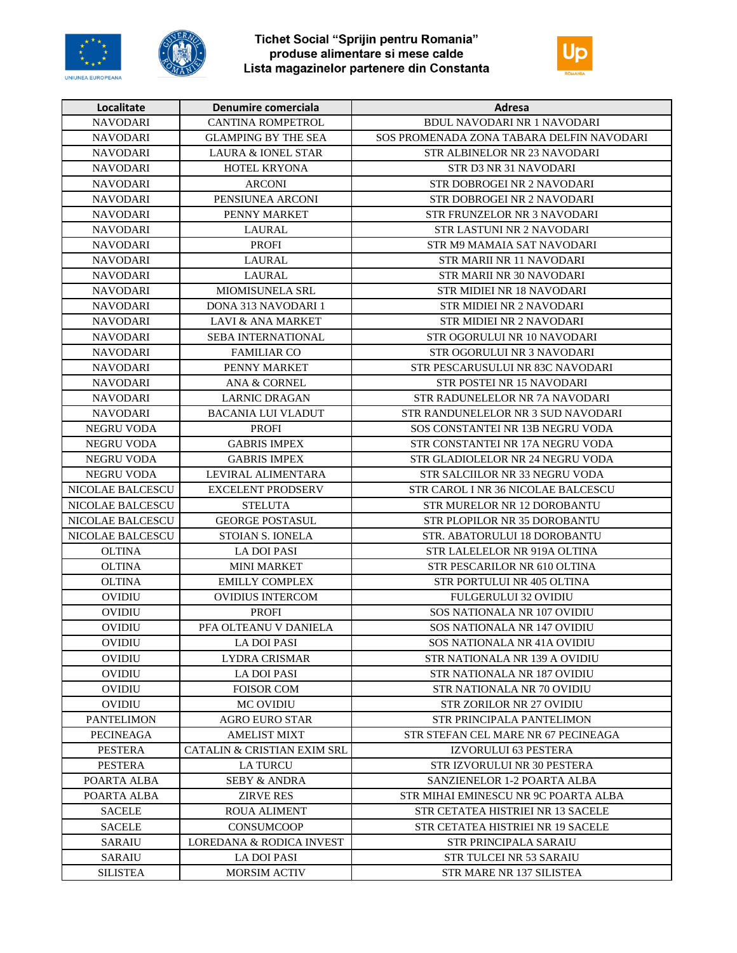





| Localitate        | Denumire comerciala           | Adresa                                    |
|-------------------|-------------------------------|-------------------------------------------|
| <b>NAVODARI</b>   | <b>CANTINA ROMPETROL</b>      | BDUL NAVODARI NR 1 NAVODARI               |
| <b>NAVODARI</b>   | <b>GLAMPING BY THE SEA</b>    | SOS PROMENADA ZONA TABARA DELFIN NAVODARI |
| <b>NAVODARI</b>   | <b>LAURA &amp; IONEL STAR</b> | STR ALBINELOR NR 23 NAVODARI              |
| <b>NAVODARI</b>   | <b>HOTEL KRYONA</b>           | STR D3 NR 31 NAVODARI                     |
| <b>NAVODARI</b>   | <b>ARCONI</b>                 | STR DOBROGEI NR 2 NAVODARI                |
| <b>NAVODARI</b>   | PENSIUNEA ARCONI              | STR DOBROGEI NR 2 NAVODARI                |
| <b>NAVODARI</b>   | PENNY MARKET                  | STR FRUNZELOR NR 3 NAVODARI               |
| <b>NAVODARI</b>   | LAURAL                        | <b>STR LASTUNI NR 2 NAVODARI</b>          |
| <b>NAVODARI</b>   | <b>PROFI</b>                  | STR M9 MAMAIA SAT NAVODARI                |
| <b>NAVODARI</b>   | <b>LAURAL</b>                 | STR MARII NR 11 NAVODARI                  |
| <b>NAVODARI</b>   | <b>LAURAL</b>                 | STR MARII NR 30 NAVODARI                  |
| <b>NAVODARI</b>   | MIOMISUNELA SRL               | STR MIDIEI NR 18 NAVODARI                 |
| <b>NAVODARI</b>   | DONA 313 NAVODARI 1           | <b>STR MIDIEI NR 2 NAVODARI</b>           |
| <b>NAVODARI</b>   | <b>LAVI &amp; ANA MARKET</b>  | <b>STR MIDIEI NR 2 NAVODARI</b>           |
| <b>NAVODARI</b>   | SEBA INTERNATIONAL            | STR OGORULUI NR 10 NAVODARI               |
| <b>NAVODARI</b>   | <b>FAMILIAR CO</b>            | STR OGORULUI NR 3 NAVODARI                |
| <b>NAVODARI</b>   | PENNY MARKET                  | STR PESCARUSULUI NR 83C NAVODARI          |
| <b>NAVODARI</b>   | <b>ANA &amp; CORNEL</b>       | STR POSTEI NR 15 NAVODARI                 |
| <b>NAVODARI</b>   | <b>LARNIC DRAGAN</b>          | STR RADUNELELOR NR 7A NAVODARI            |
| <b>NAVODARI</b>   | <b>BACANIA LUI VLADUT</b>     | STR RANDUNELELOR NR 3 SUD NAVODARI        |
| <b>NEGRU VODA</b> | <b>PROFI</b>                  | SOS CONSTANTEI NR 13B NEGRU VODA          |
| <b>NEGRU VODA</b> | <b>GABRIS IMPEX</b>           | STR CONSTANTEI NR 17A NEGRU VODA          |
| <b>NEGRU VODA</b> | <b>GABRIS IMPEX</b>           | STR GLADIOLELOR NR 24 NEGRU VODA          |
| <b>NEGRU VODA</b> | LEVIRAL ALIMENTARA            | STR SALCIILOR NR 33 NEGRU VODA            |
| NICOLAE BALCESCU  | <b>EXCELENT PRODSERV</b>      | STR CAROL I NR 36 NICOLAE BALCESCU        |
| NICOLAE BALCESCU  | <b>STELUTA</b>                | STR MURELOR NR 12 DOROBANTU               |
| NICOLAE BALCESCU  | <b>GEORGE POSTASUL</b>        | STR PLOPILOR NR 35 DOROBANTU              |
| NICOLAE BALCESCU  | STOIAN S. IONELA              | STR. ABATORULUI 18 DOROBANTU              |
| <b>OLTINA</b>     | <b>LA DOI PASI</b>            | STR LALELELOR NR 919A OLTINA              |
| <b>OLTINA</b>     | <b>MINI MARKET</b>            | STR PESCARILOR NR 610 OLTINA              |
| <b>OLTINA</b>     | <b>EMILLY COMPLEX</b>         | STR PORTULUI NR 405 OLTINA                |
| <b>OVIDIU</b>     | OVIDIUS INTERCOM              | <b>FULGERULUI 32 OVIDIU</b>               |
| <b>OVIDIU</b>     | <b>PROFI</b>                  | SOS NATIONALA NR 107 OVIDIU               |
| <b>OVIDIU</b>     | PFA OLTEANU V DANIELA         | SOS NATIONALA NR 147 OVIDIU               |
| <b>OVIDIU</b>     | LA DOI PASI                   | SOS NATIONALA NR 41A OVIDIU               |
| OVIDIU            | LYDRA CRISMAR                 | STR NATIONALA NR 139 A OVIDIU             |
| OVIDIU            | <b>LA DOI PASI</b>            | <b>STR NATIONALA NR 187 OVIDIU</b>        |
| <b>OVIDIU</b>     | <b>FOISOR COM</b>             | STR NATIONALA NR 70 OVIDIU                |
| <b>OVIDIU</b>     | <b>MC OVIDIU</b>              | <b>STR ZORILOR NR 27 OVIDIU</b>           |
| <b>PANTELIMON</b> | AGRO EURO STAR                | STR PRINCIPALA PANTELIMON                 |
| PECINEAGA         | <b>AMELIST MIXT</b>           | STR STEFAN CEL MARE NR 67 PECINEAGA       |
| PESTERA           | CATALIN & CRISTIAN EXIM SRL   | <b>IZVORULUI 63 PESTERA</b>               |
| <b>PESTERA</b>    | <b>LA TURCU</b>               | STR IZVORULUI NR 30 PESTERA               |
| POARTA ALBA       | <b>SEBY &amp; ANDRA</b>       | <b>SANZIENELOR 1-2 POARTA ALBA</b>        |
| POARTA ALBA       | <b>ZIRVE RES</b>              | STR MIHAI EMINESCU NR 9C POARTA ALBA      |
| <b>SACELE</b>     | <b>ROUA ALIMENT</b>           | STR CETATEA HISTRIEI NR 13 SACELE         |
| <b>SACELE</b>     | <b>CONSUMCOOP</b>             | STR CETATEA HISTRIEI NR 19 SACELE         |
| <b>SARAIU</b>     | LOREDANA & RODICA INVEST      | STR PRINCIPALA SARAIU                     |
| <b>SARAIU</b>     | LA DOI PASI                   | STR TULCEI NR 53 SARAIU                   |
| <b>SILISTEA</b>   | <b>MORSIM ACTIV</b>           | STR MARE NR 137 SILISTEA                  |